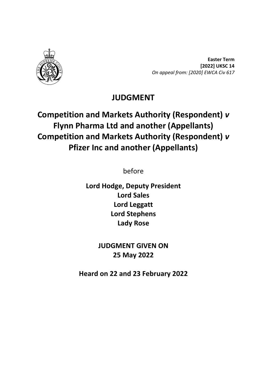

**Easter Term [2022] UKSC 14** *On appeal from: [2020] EWCA Civ 617*

## **JUDGMENT**

# **Competition and Markets Authority (Respondent)** *v* **Flynn Pharma Ltd and another (Appellants) Competition and Markets Authority (Respondent)** *v* **Pfizer Inc and another (Appellants)**

before

**Lord Hodge, Deputy President Lord Sales Lord Leggatt Lord Stephens Lady Rose**

> **JUDGMENT GIVEN ON 25 May 2022**

**Heard on 22 and 23 February 2022**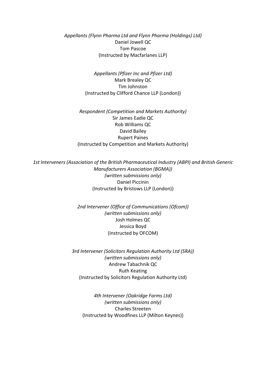*Appellants (Flynn Pharma Ltd and Flynn Pharma (Holdings) Ltd)* Daniel Jowell QC Tom Pascoe (Instructed by Macfarlanes LLP)

> *Appellants (Pfizer Inc and Pfizer Ltd)* Mark Brealey QC Tim Johnston (Instructed by Clifford Chance LLP (London))

*Respondent (Competition and Markets Authority)* Sir James Eadie QC Rob Williams QC David Bailey Rupert Paines (Instructed by Competition and Markets Authority)

*1st Interveners (Association of the British Pharmaceutical Industry (ABPI) and British Generic Manufacturers Association (BGMA)) (written submissions only)* Daniel Piccinin (Instructed by Bristows LLP (London))

> *2nd Intervener (Office of Communications (Ofcom)) (written submissions only)* Josh Holmes QC Jessica Boyd (Instructed by OFCOM)

*3rd Intervener (Solicitors Regulation Authority Ltd (SRA)) (written submissions only)* Andrew Tabachnik QC Ruth Keating (Instructed by Solicitors Regulation Authority Ltd)

*4th Intervener (Oakridge Farms Ltd) (written submissions only)* Charles Streeten (Instructed by Woodfines LLP (Milton Keynes))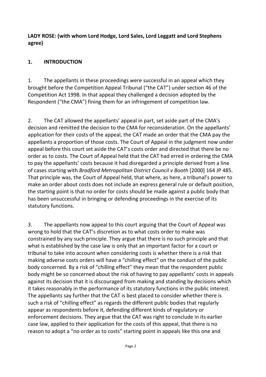**LADY ROSE: (with whom Lord Hodge, Lord Sales, Lord Leggatt and Lord Stephens agree)**

## **1. INTRODUCTION**

1. The appellants in these proceedings were successful in an appeal which they brought before the Competition Appeal Tribunal ("the CAT") under section 46 of the Competition Act 1998. In that appeal they challenged a decision adopted by the Respondent ("the CMA") fining them for an infringement of competition law.

2. The CAT allowed the appellants' appeal in part, set aside part of the CMA's decision and remitted the decision to the CMA for reconsideration. On the appellants' application for their costs of the appeal, the CAT made an order that the CMA pay the appellants a proportion of those costs. The Court of Appeal in the judgment now under appeal before this court set aside the CAT's costs order and directed that there be no order as to costs. The Court of Appeal held that the CAT had erred in ordering the CMA to pay the appellants' costs because it had disregarded a principle derived from a line of cases starting with *Bradford Metropolitan District Council v Booth* [2000] 164 JP 485. That principle was, the Court of Appeal held, that where, as here, a tribunal's power to make an order about costs does not include an express general rule or default position, the starting point is that no order for costs should be made against a public body that has been unsuccessful in bringing or defending proceedings in the exercise of its statutory functions.

3. The appellants now appeal to this court arguing that the Court of Appeal was wrong to hold that the CAT's discretion as to what costs order to make was constrained by any such principle. They argue that there is no such principle and that what is established by the case law is only that an important factor for a court or tribunal to take into account when considering costs is whether there is a risk that making adverse costs orders will have a "chilling effect" on the conduct of the public body concerned. By a risk of "chilling effect" they mean that the respondent public body might be so concerned about the risk of having to pay appellants' costs in appeals against its decision that it is discouraged from making and standing by decisions which it takes reasonably in the performance of its statutory functions in the public interest. The appellants say further that the CAT is best placed to consider whether there is such a risk of "chilling effect" as regards the different public bodies that regularly appear as respondents before it, defending different kinds of regulatory or enforcement decisions. They argue that the CAT was right to conclude in its earlier case law, applied to their application for the costs of this appeal, that there is no reason to adopt a "no order as to costs" starting point in appeals like this one and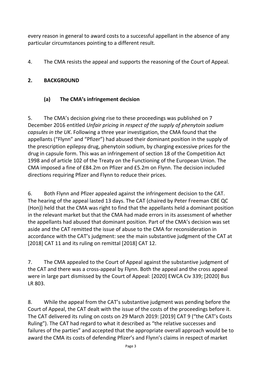every reason in general to award costs to a successful appellant in the absence of any particular circumstances pointing to a different result.

4. The CMA resists the appeal and supports the reasoning of the Court of Appeal.

## **2. BACKGROUND**

## **(a) The CMA's infringement decision**

5. The CMA's decision giving rise to these proceedings was published on 7 December 2016 entitled *Unfair pricing in respect of the supply of phenytoin sodium capsules in the UK*. Following a three year investigation, the CMA found that the appellants ("Flynn" and "Pfizer") had abused their dominant position in the supply of the prescription epilepsy drug, phenytoin sodium, by charging excessive prices for the drug in capsule form. This was an infringement of section 18 of the Competition Act 1998 and of article 102 of the Treaty on the Functioning of the European Union. The CMA imposed a fine of £84.2m on Pfizer and £5.2m on Flynn. The decision included directions requiring Pfizer and Flynn to reduce their prices.

6. Both Flynn and Pfizer appealed against the infringement decision to the CAT. The hearing of the appeal lasted 13 days. The CAT (chaired by Peter Freeman CBE QC (Hon)) held that the CMA was right to find that the appellants held a dominant position in the relevant market but that the CMA had made errors in its assessment of whether the appellants had abused that dominant position. Part of the CMA's decision was set aside and the CAT remitted the issue of abuse to the CMA for reconsideration in accordance with the CAT's judgment: see the main substantive judgment of the CAT at [2018] CAT 11 and its ruling on remittal [2018] CAT 12.

7. The CMA appealed to the Court of Appeal against the substantive judgment of the CAT and there was a cross-appeal by Flynn. Both the appeal and the cross appeal were in large part dismissed by the Court of Appeal: [2020] EWCA Civ 339; [2020] Bus LR 803.

8. While the appeal from the CAT's substantive judgment was pending before the Court of Appeal, the CAT dealt with the issue of the costs of the proceedings before it. The CAT delivered its ruling on costs on 29 March 2019: [2019] CAT 9 ("the CAT's Costs Ruling"). The CAT had regard to what it described as "the relative successes and failures of the parties" and accepted that the appropriate overall approach would be to award the CMA its costs of defending Pfizer's and Flynn's claims in respect of market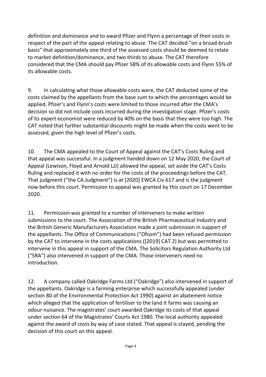definition and dominance and to award Pfizer and Flynn a percentage of their costs in respect of the part of the appeal relating to abuse. The CAT decided "on a broad-brush basis" that approximately one third of the assessed costs should be deemed to relate to market definition/dominance, and two thirds to abuse. The CAT therefore considered that the CMA should pay Pfizer 58% of its allowable costs and Flynn 55% of its allowable costs.

9. In calculating what those allowable costs were, the CAT deducted some of the costs claimed by the appellants from the base sum to which the percentages would be applied. Pfizer's and Flynn's costs were limited to those incurred after the CMA's decision so did not include costs incurred during the investigation stage. Pfizer's costs of its expert economist were reduced by 40% on the basis that they were too high. The CAT noted that further substantial discounts might be made when the costs went to be assessed, given the high level of Pfizer's costs.

10. The CMA appealed to the Court of Appeal against the CAT's Costs Ruling and that appeal was successful. In a judgment handed down on 12 May 2020, the Court of Appeal (Lewison, Floyd and Arnold LJJ) allowed the appeal, set aside the CAT's Costs Ruling and replaced it with no order for the costs of the proceedings before the CAT. That judgment ("the CA Judgment") is at [2020] EWCA Civ 617 and is the judgment now before this court. Permission to appeal was granted by this court on 17 December 2020.

11. Permission was granted to a number of interveners to make written submissions to the court. The Association of the British Pharmaceutical Industry and the British Generic Manufacturers Association made a joint submission in support of the appellants. The Office of Communications ("Ofcom") had been refused permission by the CAT to intervene in the costs applications ([2019] CAT 2) but was permitted to intervene in this appeal in support of the CMA. The Solicitors Regulation Authority Ltd ("SRA") also intervened in support of the CMA. Those interveners need no introduction.

12. A company called Oakridge Farms Ltd ("Oakridge") also intervened in support of the appellants. Oakridge is a farming enterprise which successfully appealed (under section 80 of the Environmental Protection Act 1990) against an abatement notice which alleged that the application of fertiliser to the land it farms was causing an odour nuisance. The magistrates' court awarded Oakridge its costs of that appeal under section 64 of the Magistrates' Courts Act 1980. The local authority appealed against the award of costs by way of case stated. That appeal is stayed, pending the decision of this court on this appeal.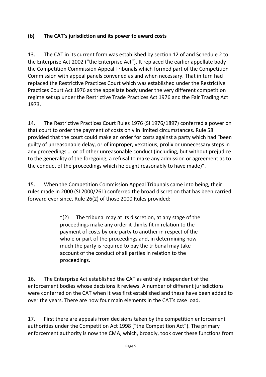## **(b) The CAT's jurisdiction and its power to award costs**

13. The CAT in its current form was established by section 12 of and Schedule 2 to the Enterprise Act 2002 ("the Enterprise Act"). It replaced the earlier appellate body the Competition Commission Appeal Tribunals which formed part of the Competition Commission with appeal panels convened as and when necessary. That in turn had replaced the Restrictive Practices Court which was established under the Restrictive Practices Court Act 1976 as the appellate body under the very different competition regime set up under the Restrictive Trade Practices Act 1976 and the Fair Trading Act 1973.

14. The Restrictive Practices Court Rules 1976 (SI 1976/1897) conferred a power on that court to order the payment of costs only in limited circumstances. Rule 58 provided that the court could make an order for costs against a party which had "been guilty of unreasonable delay, or of improper, vexatious, prolix or unnecessary steps in any proceedings … or of other unreasonable conduct (including, but without prejudice to the generality of the foregoing, a refusal to make any admission or agreement as to the conduct of the proceedings which he ought reasonably to have made)".

15. When the Competition Commission Appeal Tribunals came into being, their rules made in 2000 (SI 2000/261) conferred the broad discretion that has been carried forward ever since. Rule 26(2) of those 2000 Rules provided:

> $''(2)$  The tribunal may at its discretion, at any stage of the proceedings make any order it thinks fit in relation to the payment of costs by one party to another in respect of the whole or part of the proceedings and, in determining how much the party is required to pay the tribunal may take account of the conduct of all parties in relation to the proceedings."

16. The Enterprise Act established the CAT as entirely independent of the enforcement bodies whose decisions it reviews. A number of different jurisdictions were conferred on the CAT when it was first established and these have been added to over the years. There are now four main elements in the CAT's case load.

17. First there are appeals from decisions taken by the competition enforcement authorities under the Competition Act 1998 ("the Competition Act"). The primary enforcement authority is now the CMA, which, broadly, took over these functions from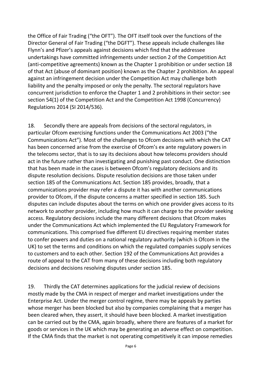the Office of Fair Trading ("the OFT"). The OFT itself took over the functions of the Director General of Fair Trading ("the DGFT"). These appeals include challenges like Flynn's and Pfizer's appeals against decisions which find that the addressee undertakings have committed infringements under section 2 of the Competition Act (anti-competitive agreements) known as the Chapter 1 prohibition or under section 18 of that Act (abuse of dominant position) known as the Chapter 2 prohibition. An appeal against an infringement decision under the Competition Act may challenge both liability and the penalty imposed or only the penalty. The sectoral regulators have concurrent jurisdiction to enforce the Chapter 1 and 2 prohibitions in their sector: see section 54(1) of the Competition Act and the Competition Act 1998 (Concurrency) Regulations 2014 (SI 2014/536).

18. Secondly there are appeals from decisions of the sectoral regulators, in particular Ofcom exercising functions under the Communications Act 2003 ("the Communications Act"). Most of the challenges to Ofcom decisions with which the CAT has been concerned arise from the exercise of Ofcom's ex ante regulatory powers in the telecoms sector, that is to say its decisions about how telecoms providers should act in the future rather than investigating and punishing past conduct. One distinction that has been made in the cases is between Ofcom's regulatory decisions and its dispute resolution decisions. Dispute resolution decisions are those taken under section 185 of the Communications Act. Section 185 provides, broadly, that a communications provider may refer a dispute it has with another communications provider to Ofcom, if the dispute concerns a matter specified in section 185. Such disputes can include disputes about the terms on which one provider gives access to its network to another provider, including how much it can charge to the provider seeking access. Regulatory decisions include the many different decisions that Ofcom makes under the Communications Act which implemented the EU Regulatory Framework for communications. This comprised five different EU directives requiring member states to confer powers and duties on a national regulatory authority (which is Ofcom in the UK) to set the terms and conditions on which the regulated companies supply services to customers and to each other. Section 192 of the Communications Act provides a route of appeal to the CAT from many of these decisions including both regulatory decisions and decisions resolving disputes under section 185.

19. Thirdly the CAT determines applications for the judicial review of decisions mostly made by the CMA in respect of merger and market investigations under the Enterprise Act. Under the merger control regime, there may be appeals by parties whose merger has been blocked but also by companies complaining that a merger has been cleared when, they assert, it should have been blocked. A market investigation can be carried out by the CMA, again broadly, where there are features of a market for goods or services in the UK which may be generating an adverse effect on competition. If the CMA finds that the market is not operating competitively it can impose remedies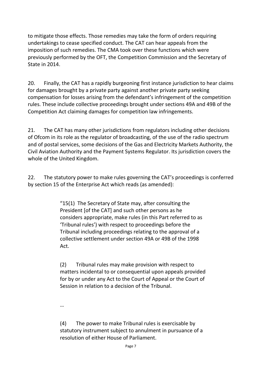to mitigate those effects. Those remedies may take the form of orders requiring undertakings to cease specified conduct. The CAT can hear appeals from the imposition of such remedies. The CMA took over these functions which were previously performed by the OFT, the Competition Commission and the Secretary of State in 2014.

20. Finally, the CAT has a rapidly burgeoning first instance jurisdiction to hear claims for damages brought by a private party against another private party seeking compensation for losses arising from the defendant's infringement of the competition rules. These include collective proceedings brought under sections 49A and 49B of the Competition Act claiming damages for competition law infringements.

21. The CAT has many other jurisdictions from regulators including other decisions of Ofcom in its role as the regulator of broadcasting, of the use of the radio spectrum and of postal services, some decisions of the Gas and Electricity Markets Authority, the Civil Aviation Authority and the Payment Systems Regulator. Its jurisdiction covers the whole of the United Kingdom.

22. The statutory power to make rules governing the CAT's proceedings is conferred by section 15 of the Enterprise Act which reads (as amended):

> "15(1) The Secretary of State may, after consulting the President [of the CAT] and such other persons as he considers appropriate, make rules (in this Part referred to as 'Tribunal rules') with respect to proceedings before the Tribunal including proceedings relating to the approval of a collective settlement under section 49A or 49B of the 1998 Act.

(2) Tribunal rules may make provision with respect to matters incidental to or consequential upon appeals provided for by or under any Act to the Court of Appeal or the Court of Session in relation to a decision of the Tribunal.

…

(4) The power to make Tribunal rules is exercisable by statutory instrument subject to annulment in pursuance of a resolution of either House of Parliament.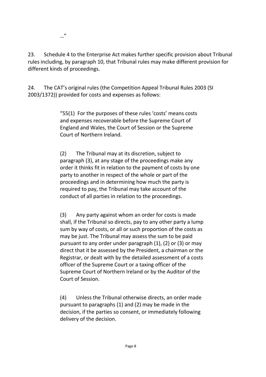…"

23. Schedule 4 to the Enterprise Act makes further specific provision about Tribunal rules including, by paragraph 10, that Tribunal rules may make different provision for different kinds of proceedings.

24. The CAT's original rules (the Competition Appeal Tribunal Rules 2003 (SI 2003/1372)) provided for costs and expenses as follows:

> "55(1) For the purposes of these rules 'costs' means costs and expenses recoverable before the Supreme Court of England and Wales, the Court of Session or the Supreme Court of Northern Ireland.

(2) The Tribunal may at its discretion, subject to paragraph (3), at any stage of the proceedings make any order it thinks fit in relation to the payment of costs by one party to another in respect of the whole or part of the proceedings and in determining how much the party is required to pay, the Tribunal may take account of the conduct of all parties in relation to the proceedings.

(3) Any party against whom an order for costs is made shall, if the Tribunal so directs, pay to any other party a lump sum by way of costs, or all or such proportion of the costs as may be just. The Tribunal may assess the sum to be paid pursuant to any order under paragraph (1), (2) or (3) or may direct that it be assessed by the President, a chairman or the Registrar, or dealt with by the detailed assessment of a costs officer of the Supreme Court or a taxing officer of the Supreme Court of Northern Ireland or by the Auditor of the Court of Session.

(4) Unless the Tribunal otherwise directs, an order made pursuant to paragraphs (1) and (2) may be made in the decision, if the parties so consent, or immediately following delivery of the decision.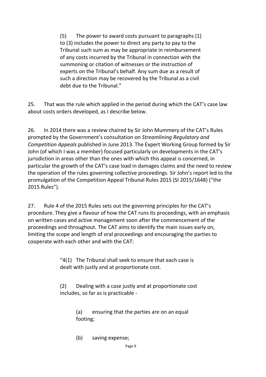(5) The power to award costs pursuant to paragraphs (1) to (3) includes the power to direct any party to pay to the Tribunal such sum as may be appropriate in reimbursement of any costs incurred by the Tribunal in connection with the summoning or citation of witnesses or the instruction of experts on the Tribunal's behalf. Any sum due as a result of such a direction may be recovered by the Tribunal as a civil debt due to the Tribunal."

25. That was the rule which applied in the period during which the CAT's case law about costs orders developed, as I describe below.

26. In 2014 there was a review chaired by Sir John Mummery of the CAT's Rules prompted by the Government's consultation on *Streamlining Regulatory and Competition Appeals* published in June 2013. The Expert Working Group formed by Sir John (of which I was a member) focused particularly on developments in the CAT's jurisdiction in areas other than the ones with which this appeal is concerned, in particular the growth of the CAT's case load in damages claims and the need to review the operation of the rules governing collective proceedings. Sir John's report led to the promulgation of the Competition Appeal Tribunal Rules 2015 (SI 2015/1648) ("the 2015 Rules").

27. Rule 4 of the 2015 Rules sets out the governing principles for the CAT's procedure. They give a flavour of how the CAT runs its proceedings, with an emphasis on written cases and active management soon after the commencement of the proceedings and throughout. The CAT aims to identify the main issues early on, limiting the scope and length of oral proceedings and encouraging the parties to cooperate with each other and with the CAT:

> " $4(1)$  The Tribunal shall seek to ensure that each case is dealt with justly and at proportionate cost.

(2) Dealing with a case justly and at proportionate cost includes, so far as is practicable -

> (a) ensuring that the parties are on an equal footing;

(b) saving expense;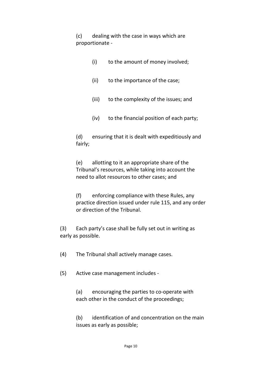(c) dealing with the case in ways which are proportionate -

- (i) to the amount of money involved;
- (ii) to the importance of the case;
- (iii) to the complexity of the issues; and
- (iv) to the financial position of each party;

(d) ensuring that it is dealt with expeditiously and fairly;

(e) allotting to it an appropriate share of the Tribunal's resources, while taking into account the need to allot resources to other cases; and

(f) enforcing compliance with these Rules, any practice direction issued under rule 115, and any order or direction of the Tribunal.

(3) Each party's case shall be fully set out in writing as early as possible.

(4) The Tribunal shall actively manage cases.

(5) Active case management includes -

(a) encouraging the parties to co-operate with each other in the conduct of the proceedings;

(b) identification of and concentration on the main issues as early as possible;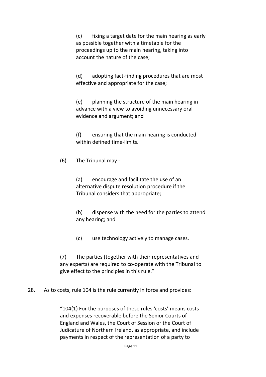(c) fixing a target date for the main hearing as early as possible together with a timetable for the proceedings up to the main hearing, taking into account the nature of the case;

(d) adopting fact-finding procedures that are most effective and appropriate for the case;

(e) planning the structure of the main hearing in advance with a view to avoiding unnecessary oral evidence and argument; and

(f) ensuring that the main hearing is conducted within defined time-limits.

(6) The Tribunal may -

(a) encourage and facilitate the use of an alternative dispute resolution procedure if the Tribunal considers that appropriate;

(b) dispense with the need for the parties to attend any hearing; and

(c) use technology actively to manage cases.

(7) The parties (together with their representatives and any experts) are required to co-operate with the Tribunal to give effect to the principles in this rule."

28. As to costs, rule 104 is the rule currently in force and provides:

"104(1) For the purposes of these rules 'costs' means costs and expenses recoverable before the Senior Courts of England and Wales, the Court of Session or the Court of Judicature of Northern Ireland, as appropriate, and include payments in respect of the representation of a party to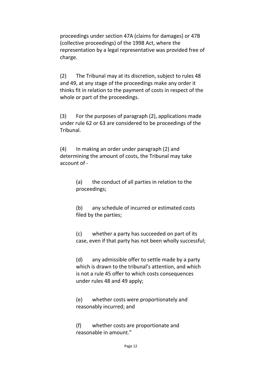proceedings under section 47A (claims for damages) or 47B (collective proceedings) of the 1998 Act, where the representation by a legal representative was provided free of charge.

(2) The Tribunal may at its discretion, subject to rules 48 and 49, at any stage of the proceedings make any order it thinks fit in relation to the payment of costs in respect of the whole or part of the proceedings.

(3) For the purposes of paragraph (2), applications made under rule 62 or 63 are considered to be proceedings of the Tribunal.

(4) In making an order under paragraph (2) and determining the amount of costs, the Tribunal may take account of -

> (a) the conduct of all parties in relation to the proceedings;

(b) any schedule of incurred or estimated costs filed by the parties;

(c) whether a party has succeeded on part of its case, even if that party has not been wholly successful;

(d) any admissible offer to settle made by a party which is drawn to the tribunal's attention, and which is not a rule 45 offer to which costs consequences under rules 48 and 49 apply;

(e) whether costs were proportionately and reasonably incurred; and

(f) whether costs are proportionate and reasonable in amount."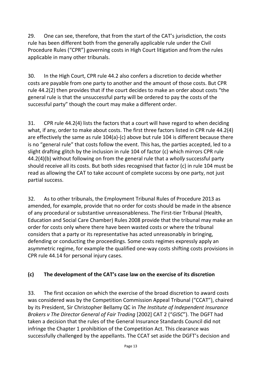29. One can see, therefore, that from the start of the CAT's jurisdiction, the costs rule has been different both from the generally applicable rule under the Civil Procedure Rules ("CPR") governing costs in High Court litigation and from the rules applicable in many other tribunals.

30. In the High Court, CPR rule 44.2 also confers a discretion to decide whether costs are payable from one party to another and the amount of those costs. But CPR rule 44.2(2) then provides that if the court decides to make an order about costs "the general rule is that the unsuccessful party will be ordered to pay the costs of the successful party" though the court may make a different order.

31. CPR rule 44.2(4) lists the factors that a court will have regard to when deciding what, if any, order to make about costs. The first three factors listed in CPR rule 44.2(4) are effectively the same as rule 104(a)-(c) above but rule 104 is different because there is no "general rule" that costs follow the event. This has, the parties accepted, led to a slight drafting glitch by the inclusion in rule 104 of factor (c) which mirrors CPR rule 44.2(4)(b) without following on from the general rule that a *wholly* successful party should receive all its costs. But both sides recognised that factor (c) in rule 104 must be read as allowing the CAT to take account of complete success by one party, not just partial success.

32. As to other tribunals, the Employment Tribunal Rules of Procedure 2013 as amended, for example, provide that no order for costs should be made in the absence of any procedural or substantive unreasonableness. The First-tier Tribunal (Health, Education and Social Care Chamber) Rules 2008 provide that the tribunal may make an order for costs only where there have been wasted costs or where the tribunal considers that a party or its representative has acted unreasonably in bringing, defending or conducting the proceedings. Some costs regimes expressly apply an asymmetric regime, for example the qualified one-way costs shifting costs provisions in CPR rule 44.14 for personal injury cases.

## **(c) The development of the CAT's case law on the exercise of its discretion**

33. The first occasion on which the exercise of the broad discretion to award costs was considered was by the Competition Commission Appeal Tribunal ("CCAT"), chaired by its President, Sir Christopher Bellamy QC in *The Institute of Independent Insurance Brokers v The Director General of Fair Trading* [2002] CAT 2 ("*GISC*"). The DGFT had taken a decision that the rules of the General Insurance Standards Council did not infringe the Chapter 1 prohibition of the Competition Act. This clearance was successfully challenged by the appellants. The CCAT set aside the DGFT's decision and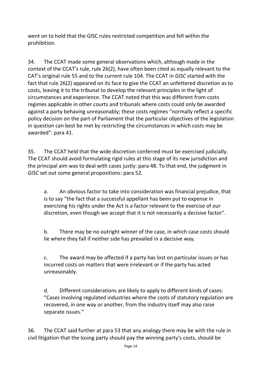went on to hold that the GISC rules restricted competition and fell within the prohibition.

34. The CCAT made some general observations which, although made in the context of the CCAT's rule, rule 26(2), have often been cited as equally relevant to the CAT's original rule 55 and to the current rule 104. The CCAT in *GISC* started with the fact that rule 26(2) appeared on its face to give the CCAT an unfettered discretion as to costs, leaving it to the tribunal to develop the relevant principles in the light of circumstances and experience. The CCAT noted that this was different from costs regimes applicable in other courts and tribunals where costs could only be awarded against a party behaving unreasonably; these costs regimes "normally reflect a specific policy decision on the part of Parliament that the particular objectives of the legislation in question can best be met by restricting the circumstances in which costs may be awarded": para 41.

35. The CCAT held that the wide discretion conferred must be exercised judicially. The CCAT should avoid formulating rigid rules at this stage of its new jurisdiction and the principal aim was to deal with cases justly: para 48. To that end, the judgment in *GISC* set out some general propositions: para 52.

a. An obvious factor to take into consideration was financial prejudice, that is to say "the fact that a successful appellant has been put to expense in exercising his rights under the Act is a factor relevant to the exercise of our discretion, even though we accept that it is not necessarily a decisive factor".

b. There may be no outright winner of the case, in which case costs should lie where they fall if neither side has prevailed in a decisive way.

c. The award may be affected if a party has lost on particular issues or has incurred costs on matters that were irrelevant or if the party has acted unreasonably.

d. Different considerations are likely to apply to different kinds of cases: "Cases involving regulated industries where the costs of statutory regulation are recovered, in one way or another, from the industry itself may also raise separate issues."

36. The CCAT said further at para 53 that any analogy there may be with the rule in civil litigation that the losing party should pay the winning party's costs, should be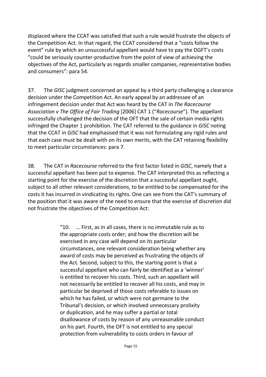displaced where the CCAT was satisfied that such a rule would frustrate the objects of the Competition Act. In that regard, the CCAT considered that a "costs follow the event" rule by which an unsuccessful appellant would have to pay the DGFT's costs "could be seriously counter-productive from the point of view of achieving the objectives of the Act, particularly as regards smaller companies, representative bodies and consumers": para 54.

37. The *GISC* judgment concerned an appeal by a third party challenging a clearance decision under the Competition Act. An early appeal by an addressee of an infringement decision under that Act was heard by the CAT in *The Racecourse Association v The Office of Fair Trading* [2006] CAT 1 ("*Racecourse*"). The appellant successfully challenged the decision of the OFT that the sale of certain media rights infringed the Chapter 1 prohibition. The CAT referred to the guidance in *GISC* noting that the CCAT in *GISC* had emphasised that it was not formulating any rigid rules and that each case must be dealt with on its own merits, with the CAT retaining flexibility to meet particular circumstances: para 7.

38. The CAT in *Racecourse* referred to the first factor listed in *GISC*, namely that a successful appellant has been put to expense. The CAT interpreted this as reflecting a starting point for the exercise of the discretion that a successful appellant ought, subject to all other relevant considerations, to be entitled to be compensated for the costs it has incurred in vindicating its rights. One can see from the CAT's summary of the position that it was aware of the need to ensure that the exercise of discretion did not frustrate the objectives of the Competition Act:

> "10. … First, as in all cases, there is no immutable rule as to the appropriate costs order; and how the discretion will be exercised in any case will depend on its particular circumstances, one relevant consideration being whether any award of costs may be perceived as frustrating the objects of the Act. Second, subject to this, the starting point is that a successful appellant who can fairly be identified as a 'winner' is entitled to recover his costs. Third, such an appellant will not necessarily be entitled to recover all his costs, and may in particular be deprived of those costs referable to issues on which he has failed, or which were not germane to the Tribunal's decision, or which involved unnecessary prolixity or duplication, and he may suffer a partial or total disallowance of costs by reason of any unreasonable conduct on his part. Fourth, the OFT is not entitled to any special protection from vulnerability to costs orders in favour of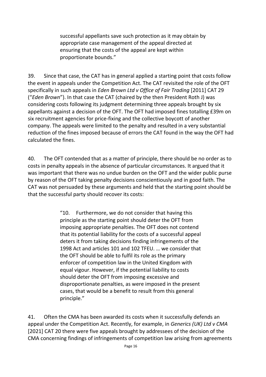successful appellants save such protection as it may obtain by appropriate case management of the appeal directed at ensuring that the costs of the appeal are kept within proportionate bounds."

39. Since that case, the CAT has in general applied a starting point that costs follow the event in appeals under the Competition Act. The CAT revisited the role of the OFT specifically in such appeals in *Eden Brown Ltd v Office of Fair Trading* [2011] CAT 29 ("*Eden Brown*"). In that case the CAT (chaired by the then President Roth J) was considering costs following its judgment determining three appeals brought by six appellants against a decision of the OFT. The OFT had imposed fines totalling £39m on six recruitment agencies for price-fixing and the collective boycott of another company. The appeals were limited to the penalty and resulted in a very substantial reduction of the fines imposed because of errors the CAT found in the way the OFT had calculated the fines.

40. The OFT contended that as a matter of principle, there should be no order as to costs in penalty appeals in the absence of particular circumstances. It argued that it was important that there was no undue burden on the OFT and the wider public purse by reason of the OFT taking penalty decisions conscientiously and in good faith. The CAT was not persuaded by these arguments and held that the starting point should be that the successful party should recover its costs:

> "10. Furthermore, we do not consider that having this principle as the starting point should deter the OFT from imposing appropriate penalties. The OFT does not contend that its potential liability for the costs of a successful appeal deters it from taking decisions finding infringements of the 1998 Act and articles 101 and 102 TFEU. … we consider that the OFT should be able to fulfil its role as the primary enforcer of competition law in the United Kingdom with equal vigour. However, if the potential liability to costs should deter the OFT from imposing excessive and disproportionate penalties, as were imposed in the present cases, that would be a benefit to result from this general principle."

41. Often the CMA has been awarded its costs when it successfully defends an appeal under the Competition Act. Recently, for example, in *Generics (UK) Ltd v CMA*  [2021] CAT 20 there were five appeals brought by addressees of the decision of the CMA concerning findings of infringements of competition law arising from agreements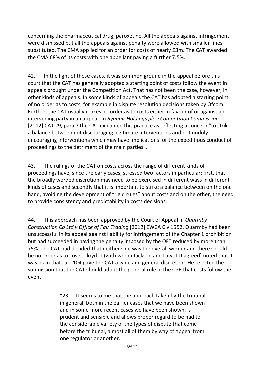concerning the pharmaceutical drug, paroxetine. All the appeals against infringement were dismissed but all the appeals against penalty were allowed with smaller fines substituted. The CMA applied for an order for costs of nearly £3m. The CAT awarded the CMA 68% of its costs with one appellant paying a further 7.5%.

42. In the light of these cases, it was common ground in the appeal before this court that the CAT has generally adopted a starting point of costs follow the event in appeals brought under the Competition Act. That has not been the case, however, in other kinds of appeals. In some kinds of appeals the CAT has adopted a starting point of no order as to costs, for example in dispute resolution decisions taken by Ofcom. Further, the CAT usually makes no order as to costs either in favour of or against an intervening party in an appeal. In *Ryanair Holdings plc v Competition Commission* [2012] CAT 29, para 7 the CAT explained this practice as reflecting a concern "to strike a balance between not discouraging legitimate interventions and not unduly encouraging interventions which may have implications for the expeditious conduct of proceedings to the detriment of the main parties".

43. The rulings of the CAT on costs across the range of different kinds of proceedings have, since the early cases, stressed two factors in particular: first, that the broadly worded discretion may need to be exercised in different ways in different kinds of cases and secondly that it is important to strike a balance between on the one hand, avoiding the development of "rigid rules" about costs and on the other, the need to provide consistency and predictability in costs decisions.

44. This approach has been approved by the Court of Appeal in *Quarmby Construction Co Ltd v Office of Fair Trading* [2012] EWCA Civ 1552. Quarmby had been unsuccessful in its appeal against liability for infringement of the Chapter 1 prohibition but had succeeded in having the penalty imposed by the OFT reduced by more than 75%. The CAT had decided that neither side was the overall winner and there should be no order as to costs. Lloyd LJ (with whom Jackson and Laws LJJ agreed) noted that it was plain that rule 104 gave the CAT a wide and general discretion. He rejected the submission that the CAT should adopt the general rule in the CPR that costs follow the event:

> "23. It seems to me that the approach taken by the tribunal in general, both in the earlier cases that we have been shown and in some more recent cases we have been shown, is prudent and sensible and allows proper regard to be had to the considerable variety of the types of dispute that come before the tribunal, almost all of them by way of appeal from one regulator or another.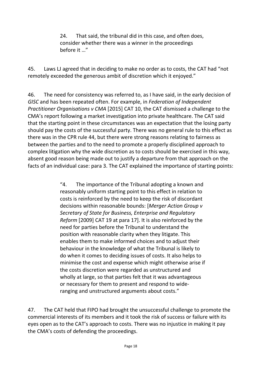24. That said, the tribunal did in this case, and often does, consider whether there was a winner in the proceedings before it …"

45. Laws LJ agreed that in deciding to make no order as to costs, the CAT had "not remotely exceeded the generous ambit of discretion which it enjoyed."

46. The need for consistency was referred to, as I have said, in the early decision of *GISC* and has been repeated often. For example, in *Federation of Independent Practitioner Organisations v CMA* [2015] CAT 10, the CAT dismissed a challenge to the CMA's report following a market investigation into private healthcare. The CAT said that the starting point in these circumstances was an expectation that the losing party should pay the costs of the successful party. There was no general rule to this effect as there was in the CPR rule 44, but there were strong reasons relating to fairness as between the parties and to the need to promote a properly disciplined approach to complex litigation why the wide discretion as to costs should be exercised in this way, absent good reason being made out to justify a departure from that approach on the facts of an individual case: para 3. The CAT explained the importance of starting points:

> "4. The importance of the Tribunal adopting a known and reasonably uniform starting point to this effect in relation to costs is reinforced by the need to keep the risk of discordant decisions within reasonable bounds: [*Merger Action Group v Secretary of State for Business, Enterprise and Regulatory Reform* [2009] CAT 19 at para 17]. It is also reinforced by the need for parties before the Tribunal to understand the position with reasonable clarity when they litigate. This enables them to make informed choices and to adjust their behaviour in the knowledge of what the Tribunal is likely to do when it comes to deciding issues of costs. It also helps to minimise the cost and expense which might otherwise arise if the costs discretion were regarded as unstructured and wholly at large, so that parties felt that it was advantageous or necessary for them to present and respond to wideranging and unstructured arguments about costs."

47. The CAT held that FIPO had brought the unsuccessful challenge to promote the commercial interests of its members and it took the risk of success or failure with its eyes open as to the CAT's approach to costs. There was no injustice in making it pay the CMA's costs of defending the proceedings.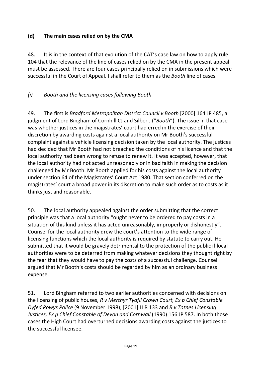## **(d) The main cases relied on by the CMA**

48. It is in the context of that evolution of the CAT's case law on how to apply rule 104 that the relevance of the line of cases relied on by the CMA in the present appeal must be assessed. There are four cases principally relied on in submissions which were successful in the Court of Appeal. I shall refer to them as the *Booth* line of cases.

## *(i) Booth and the licensing cases following Booth*

49. The first is *Bradford Metropolitan District Council v Booth* [2000] 164 JP 485, a judgment of Lord Bingham of Cornhill CJ and Silber J ("*Booth*"). The issue in that case was whether justices in the magistrates' court had erred in the exercise of their discretion by awarding costs against a local authority on Mr Booth's successful complaint against a vehicle licensing decision taken by the local authority. The justices had decided that Mr Booth had not breached the conditions of his licence and that the local authority had been wrong to refuse to renew it. It was accepted, however, that the local authority had not acted unreasonably or in bad faith in making the decision challenged by Mr Booth. Mr Booth applied for his costs against the local authority under section 64 of the Magistrates' Court Act 1980. That section conferred on the magistrates' court a broad power in its discretion to make such order as to costs as it thinks just and reasonable.

50. The local authority appealed against the order submitting that the correct principle was that a local authority "ought never to be ordered to pay costs in a situation of this kind unless it has acted unreasonably, improperly or dishonestly". Counsel for the local authority drew the court's attention to the wide range of licensing functions which the local authority is required by statute to carry out. He submitted that it would be gravely detrimental to the protection of the public if local authorities were to be deterred from making whatever decisions they thought right by the fear that they would have to pay the costs of a successful challenge. Counsel argued that Mr Booth's costs should be regarded by him as an ordinary business expense.

51. Lord Bingham referred to two earlier authorities concerned with decisions on the licensing of public houses, *R v Merthyr Tydfil Crown Court, Ex p Chief Constable Dyfed Powys Police* (9 November 1998); [2001] LLR 133 and *R v Totnes Licensing Justices, Ex p Chief Constable of Devon and Cornwall* (1990) 156 JP 587. In both those cases the High Court had overturned decisions awarding costs against the justices to the successful licensee.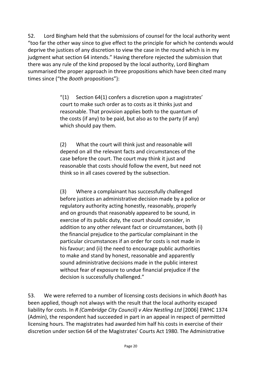52. Lord Bingham held that the submissions of counsel for the local authority went "too far the other way since to give effect to the principle for which he contends would deprive the justices of any discretion to view the case in the round which is in my judgment what section 64 intends." Having therefore rejected the submission that there was any rule of the kind proposed by the local authority, Lord Bingham summarised the proper approach in three propositions which have been cited many times since ("the *Booth* propositions"):

> "(1) Section 64(1) confers a discretion upon a magistrates' court to make such order as to costs as it thinks just and reasonable. That provision applies both to the quantum of the costs (if any) to be paid, but also as to the party (if any) which should pay them.

(2) What the court will think just and reasonable will depend on all the relevant facts and circumstances of the case before the court. The court may think it just and reasonable that costs should follow the event, but need not think so in all cases covered by the subsection.

(3) Where a complainant has successfully challenged before justices an administrative decision made by a police or regulatory authority acting honestly, reasonably, properly and on grounds that reasonably appeared to be sound, in exercise of its public duty, the court should consider, in addition to any other relevant fact or circumstances, both (i) the financial prejudice to the particular complainant in the particular circumstances if an order for costs is not made in his favour; and (ii) the need to encourage public authorities to make and stand by honest, reasonable and apparently sound administrative decisions made in the public interest without fear of exposure to undue financial prejudice if the decision is successfully challenged."

53. We were referred to a number of licensing costs decisions in which *Booth* has been applied, though not always with the result that the local authority escaped liability for costs. In *R (Cambridge City Council) v Alex Nestling Ltd* [2006] EWHC 1374 (Admin), the respondent had succeeded in part in an appeal in respect of permitted licensing hours. The magistrates had awarded him half his costs in exercise of their discretion under section 64 of the Magistrates' Courts Act 1980. The Administrative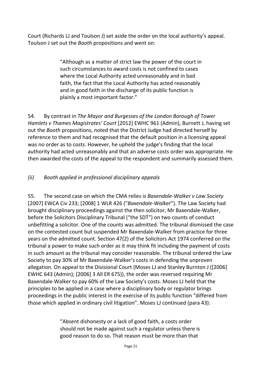Court (Richards LJ and Toulson J) set aside the order on the local authority's appeal. Toulson J set out the *Booth* propositions and went on:

> "Although as a matter of strict law the power of the court in such circumstances to award costs is not confined to cases where the Local Authority acted unreasonably and in bad faith, the fact that the Local Authority has acted reasonably and in good faith in the discharge of its public function is plainly a most important factor."

54. By contrast in *The Mayor and Burgesses of the London Borough of Tower Hamlets v Thames Magistrates' Court* [2012] EWHC 961 (Admin), Burnett J, having set out the *Booth* propositions, noted that the District Judge had directed herself by reference to them and had recognised that the default position in a licensing appeal was no order as to costs. However, he upheld the judge's finding that the local authority had acted unreasonably and that an adverse costs order was appropriate. He then awarded the costs of the appeal to the respondent and summarily assessed them.

## *(ii) Booth applied in professional disciplinary appeals*

55. The second case on which the CMA relies is *Baxendale-Walker v Law Society*  [2007] EWCA Civ 233; [2008] 1 WLR 426 ("*Baxendale-Walker*"). The Law Society had brought disciplinary proceedings against the then solicitor, Mr Baxendale-Walker, before the Solicitors Disciplinary Tribunal ("the SDT") on two counts of conduct unbefitting a solicitor. One of the counts was admitted. The tribunal dismissed the case on the contested count but suspended Mr Baxendale-Walker from practice for three years on the admitted count. Section 47(2) of the Solicitors Act 1974 conferred on the tribunal a power to make such order as it may think fit including the payment of costs in such amount as the tribunal may consider reasonable. The tribunal ordered the Law Society to pay 30% of Mr Baxendale-Walker's costs in defending the unproven allegation. On appeal to the Divisional Court (Moses LJ and Stanley Burnton J ([2006] EWHC 643 (Admin); [2006] 3 All ER 675)), the order was reversed requiring Mr Baxendale-Walker to pay 60% of the Law Society's costs. Moses LJ held that the principles to be applied in a case where a disciplinary body or regulator brings proceedings in the public interest in the exercise of its public function "differed from those which applied in ordinary civil litigation". Moses LJ continued (para 43):

> "Absent dishonesty or a lack of good faith, a costs order should not be made against such a regulator unless there is good reason to do so. That reason must be more than that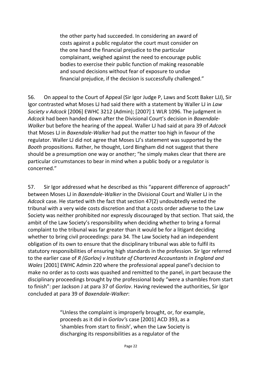the other party had succeeded. In considering an award of costs against a public regulator the court must consider on the one hand the financial prejudice to the particular complainant, weighed against the need to encourage public bodies to exercise their public function of making reasonable and sound decisions without fear of exposure to undue financial prejudice, if the decision is successfully challenged."

56. On appeal to the Court of Appeal (Sir Igor Judge P, Laws and Scott Baker LJJ), Sir Igor contrasted what Moses LJ had said there with a statement by Waller LJ in *Law Society v Adcock* [2006] EWHC 3212 (Admin); [2007] 1 WLR 1096. The judgment in *Adcock* had been handed down after the Divisional Court's decision in *Baxendale-Walker* but before the hearing of the appeal. Waller LJ had said at para 39 of *Adcock*  that Moses LJ in *Baxendale-Walker* had put the matter too high in favour of the regulator. Waller LJ did not agree that Moses LJ's statement was supported by the *Booth* propositions. Rather, he thought, Lord Bingham did not suggest that there should be a presumption one way or another; "he simply makes clear that there are particular circumstances to bear in mind when a public body or a regulator is concerned."

57. Sir Igor addressed what he described as this "apparent difference of approach" between Moses LJ in *Baxendale-Walker* in the Divisional Court and Waller LJ in the *Adcock* case*.* He started with the fact that section 47(2) undoubtedly vested the tribunal with a very wide costs discretion and that a costs order adverse to the Law Society was neither prohibited nor expressly discouraged by that section. That said, the ambit of the Law Society's responsibility when deciding whether to bring a formal complaint to the tribunal was far greater than it would be for a litigant deciding whether to bring civil proceedings: para 34. The Law Society had an independent obligation of its own to ensure that the disciplinary tribunal was able to fulfil its statutory responsibilities of ensuring high standards in the profession. Sir Igor referred to the earlier case of *R (Gorlov) v Institute of Chartered Accountants in England and Wales* [2001] EWHC Admin 220 where the professional appeal panel's decision to make no order as to costs was quashed and remitted to the panel, in part because the disciplinary proceedings brought by the professional body "were a shambles from start to finish": per Jackson J at para 37 of *Gorlov*. Having reviewed the authorities, Sir Igor concluded at para 39 of *Baxendale-Walker*:

> "Unless the complaint is improperly brought, or, for example, proceeds as it did in *Gorlov'*s case [2001] ACD 393, as a 'shambles from start to finish', when the Law Society is discharging its responsibilities as a regulator of the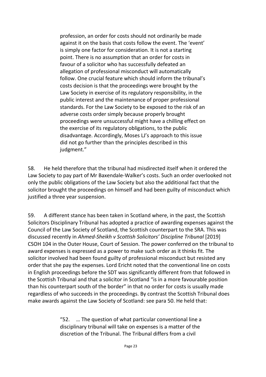profession, an order for costs should not ordinarily be made against it on the basis that costs follow the event. The 'event' is simply one factor for consideration. It is not a starting point. There is no assumption that an order for costs in favour of a solicitor who has successfully defeated an allegation of professional misconduct will automatically follow. One crucial feature which should inform the tribunal's costs decision is that the proceedings were brought by the Law Society in exercise of its regulatory responsibility, in the public interest and the maintenance of proper professional standards. For the Law Society to be exposed to the risk of an adverse costs order simply because properly brought proceedings were unsuccessful might have a chilling effect on the exercise of its regulatory obligations, to the public disadvantage. Accordingly, Moses LJ's approach to this issue did not go further than the principles described in this judgment."

58. He held therefore that the tribunal had misdirected itself when it ordered the Law Society to pay part of Mr Baxendale-Walker's costs. Such an order overlooked not only the public obligations of the Law Society but also the additional fact that the solicitor brought the proceedings on himself and had been guilty of misconduct which justified a three year suspension.

59. A different stance has been taken in Scotland where, in the past, the Scottish Solicitors Disciplinary Tribunal has adopted a practice of awarding expenses against the Council of the Law Society of Scotland, the Scottish counterpart to the SRA. This was discussed recently in *Ahmed-Sheikh v Scottish Solicitors' Discipline Tribunal* [2019] CSOH 104 in the Outer House, Court of Session. The power conferred on the tribunal to award expenses is expressed as a power to make such order as it thinks fit. The solicitor involved had been found guilty of professional misconduct but resisted any order that she pay the expenses. Lord Ericht noted that the conventional line on costs in English proceedings before the SDT was significantly different from that followed in the Scottish Tribunal and that a solicitor in Scotland "is in a more favourable position than his counterpart south of the border" in that no order for costs is usually made regardless of who succeeds in the proceedings. By contrast the Scottish Tribunal does make awards against the Law Society of Scotland: see para 50. He held that:

> "52. … The question of what particular conventional line a disciplinary tribunal will take on expenses is a matter of the discretion of the Tribunal. The Tribunal differs from a civil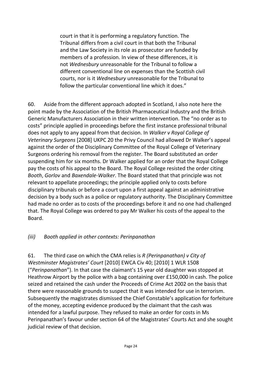court in that it is performing a regulatory function. The Tribunal differs from a civil court in that both the Tribunal and the Law Society in its role as prosecutor are funded by members of a profession. In view of these differences, it is not *Wednesbury* unreasonable for the Tribunal to follow a different conventional line on expenses than the Scottish civil courts, nor is it *Wednesbury* unreasonable for the Tribunal to follow the particular conventional line which it does."

60. Aside from the different approach adopted in Scotland, I also note here the point made by the Association of the British Pharmaceutical Industry and the British Generic Manufacturers Association in their written intervention. The "no order as to costs" principle applied in proceedings before the first instance professional tribunal does not apply to any appeal from that decision. In *Walker v Royal College of Veterinary Surgeons* [2008] UKPC 20 the Privy Council had allowed Dr Walker's appeal against the order of the Disciplinary Committee of the Royal College of Veterinary Surgeons ordering his removal from the register. The Board substituted an order suspending him for six months. Dr Walker applied for an order that the Royal College pay the costs of his appeal to the Board. The Royal College resisted the order citing *Booth*, *Gorlov* and *Baxendale-Walker*. The Board stated that that principle was not relevant to appellate proceedings; the principle applied only to costs before disciplinary tribunals or before a court upon a first appeal against an administrative decision by a body such as a police or regulatory authority. The Disciplinary Committee had made no order as to costs of the proceedings before it and no one had challenged that. The Royal College was ordered to pay Mr Walker his costs of the appeal to the Board.

## *(iii) Booth applied in other contexts: Perinpanathan*

61. The third case on which the CMA relies is *R (Perinpanathan) v City of Westminster Magistrates' Court* [2010] EWCA Civ 40; [2010] 1 WLR 1508 ("*Perinpanathan*"). In that case the claimant's 15 year old daughter was stopped at Heathrow Airport by the police with a bag containing over £150,000 in cash. The police seized and retained the cash under the Proceeds of Crime Act 2002 on the basis that there were reasonable grounds to suspect that it was intended for use in terrorism. Subsequently the magistrates dismissed the Chief Constable's application for forfeiture of the money, accepting evidence produced by the claimant that the cash was intended for a lawful purpose. They refused to make an order for costs in Ms Perinpanathan's favour under section 64 of the Magistrates' Courts Act and she sought judicial review of that decision.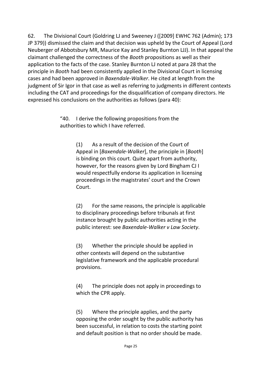<span id="page-25-0"></span>62. The Divisional Court (Goldring LJ and Sweeney J ([2009] EWHC 762 (Admin); 173 JP 379)) dismissed the claim and that decision was upheld by the Court of Appeal (Lord Neuberger of Abbotsbury MR, Maurice Kay and Stanley Burnton LJJ). In that appeal the claimant challenged the correctness of the *Booth* propositions as well as their application to the facts of the case. Stanley Burnton LJ noted at para 28 that the principle in *Booth* had been consistently applied in the Divisional Court in licensing cases and had been approved in *Baxendale-Walker*. He cited at length from the judgment of Sir Igor in that case as well as referring to judgments in different contexts including the CAT and proceedings for the disqualification of company directors. He expressed his conclusions on the authorities as follows (para 40):

> "40. I derive the following propositions from the authorities to which I have referred.

> > (1) As a result of the decision of the Court of Appeal in [*Baxendale-Walker*], the principle in [*Booth*] is binding on this court. Quite apart from authority, however, for the reasons given by Lord Bingham CJ I would respectfully endorse its application in licensing proceedings in the magistrates' court and the Crown Court.

(2) For the same reasons, the principle is applicable to disciplinary proceedings before tribunals at first instance brought by public authorities acting in the public interest: see *Baxendale-Walker v Law Society*.

(3) Whether the principle should be applied in other contexts will depend on the substantive legislative framework and the applicable procedural provisions.

(4) The principle does not apply in proceedings to which the CPR apply.

(5) Where the principle applies, and the party opposing the order sought by the public authority has been successful, in relation to costs the starting point and default position is that no order should be made.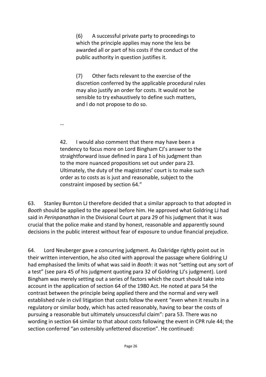(6) A successful private party to proceedings to which the principle applies may none the less be awarded all or part of his costs if the conduct of the public authority in question justifies it.

(7) Other facts relevant to the exercise of the discretion conferred by the applicable procedural rules may also justify an order for costs. It would not be sensible to try exhaustively to define such matters, and I do not propose to do so.

…

42. I would also comment that there may have been a tendency to focus more on Lord Bingham CJ's answer to the straightforward issue defined in para 1 of his judgment than to the more nuanced propositions set out under para 23. Ultimately, the duty of the magistrates' court is to make such order as to costs as is just and reasonable, subject to the constraint imposed by section 64."

63. Stanley Burnton LJ therefore decided that a similar approach to that adopted in *Booth* should be applied to the appeal before him. He approved what Goldring LJ had said in *Perinpanathan* in the Divisional Court at para 29 of his judgment that it was crucial that the police make and stand by honest, reasonable and apparently sound decisions in the public interest without fear of exposure to undue financial prejudice.

64. Lord Neuberger gave a concurring judgment. As Oakridge rightly point out in their written intervention, he also cited with approval the passage where Goldring LJ had emphasised the limits of what was said in *Booth*: it was not "setting out any sort of a test" (see para 45 of his judgment quoting para 32 of Goldring LJ's judgment). Lord Bingham was merely setting out a series of factors which the court should take into account in the application of section 64 of the 1980 Act. He noted at para 54 the contrast between the principle being applied there and the normal and very well established rule in civil litigation that costs follow the event "even when it results in a regulatory or similar body, which has acted reasonably, having to bear the costs of pursuing a reasonable but ultimately unsuccessful claim": para 53. There was no wording in section 64 similar to that about costs following the event in CPR rule 44; the section conferred "an ostensibly unfettered discretion". He continued: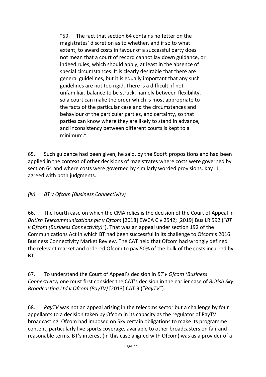"59. The fact that section 64 contains no fetter on the magistrates' discretion as to whether, and if so to what extent, to award costs in favour of a successful party does not mean that a court of record cannot lay down guidance, or indeed rules, which should apply, at least in the absence of special circumstances. It is clearly desirable that there are general guidelines, but it is equally important that any such guidelines are not too rigid. There is a difficult, if not unfamiliar, balance to be struck, namely between flexibility, so a court can make the order which is most appropriate to the facts of the particular case and the circumstances and behaviour of the particular parties, and certainty, so that parties can know where they are likely to stand in advance, and inconsistency between different courts is kept to a minimum."

65. Such guidance had been given, he said, by the *Booth* propositions and had been applied in the context of other decisions of magistrates where costs were governed by section 64 and where costs were governed by similarly worded provisions. Kay LJ agreed with both judgments.

*(iv) BT v Ofcom (Business Connectivity)*

66. The fourth case on which the CMA relies is the decision of the Court of Appeal in *British Telecommunications plc v Ofcom* [2018] EWCA Civ 2542; [2019] Bus LR 592 ("*BT v Ofcom (Business Connectivity)*"). That was an appeal under section 192 of the Communications Act in which BT had been successful in its challenge to Ofcom's 2016 Business Connectivity Market Review. The CAT held that Ofcom had wrongly defined the relevant market and ordered Ofcom to pay 50% of the bulk of the costs incurred by BT.

67. To understand the Court of Appeal's decision in *BT v Ofcom (Business Connectivity)* one must first consider the CAT's decision in the earlier case of *British Sky Broadcasting Ltd v Ofcom (PayTV)* [2013] CAT 9 ("*PayTV*").

68. *PayTV* was not an appeal arising in the telecoms sector but a challenge by four appellants to a decision taken by Ofcom in its capacity as the regulator of PayTV broadcasting. Ofcom had imposed on Sky certain obligations to make its programme content, particularly live sports coverage, available to other broadcasters on fair and reasonable terms. BT's interest (in this case aligned with Ofcom) was as a provider of a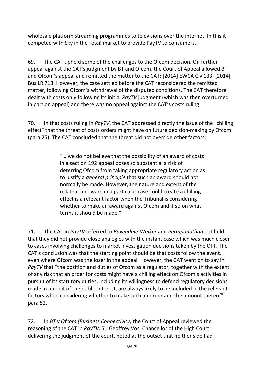wholesale platform streaming programmes to televisions over the internet. In this it competed with Sky in the retail market to provide PayTV to consumers.

69. The CAT upheld some of the challenges to the Ofcom decision. On further appeal against the CAT's judgment by BT and Ofcom, the Court of Appeal allowed BT and Ofcom's appeal and remitted the matter to the CAT: [2014] EWCA Civ 133; [2014] Bus LR 713. However, the case settled before the CAT reconsidered the remitted matter, following Ofcom's withdrawal of the disputed conditions. The CAT therefore dealt with costs only following its initial *PayTV* judgment (which was then overturned in part on appeal) and there was no appeal against the CAT's costs ruling.

70. In that costs ruling in *PayTV*, the CAT addressed directly the issue of the "chilling effect" that the threat of costs orders might have on future decision-making by Ofcom: (para 25). The CAT concluded that the threat did not override other factors:

> "… we do not believe that the possibility of an award of costs in a section 192 appeal poses so substantial a risk of deterring Ofcom from taking appropriate regulatory action as to justify a *general principle* that such an award should not normally be made. However, the nature and extent of the risk that an award in a particular case could create a chilling effect is a relevant factor when the Tribunal is considering whether to make an award against Ofcom and if so on what terms it should be made."

71. The CAT in *PayTV* referred to *Baxendale-Walker* and *Perinpanathan* but held that they did not provide close analogies with the instant case which was much closer to cases involving challenges to market investigation decisions taken by the OFT. The CAT's conclusion was that the starting point should be that costs follow the event, even where Ofcom was the loser in the appeal. However, the CAT went on to say in *PayTV* that "the position and duties of Ofcom as a regulator, together with the extent of any risk that an order for costs might have a chilling effect on Ofcom's activities in pursuit of its statutory duties, including its willingness to defend regulatory decisions made in pursuit of the public interest, are always likely to be included in the relevant factors when considering whether to make such an order and the amount thereof": para 52.

72. In *BT v Ofcom (Business Connectivity)* the Court of Appeal reviewed the reasoning of the CAT in *PayTV*. Sir Geoffrey Vos, Chancellor of the High Court delivering the judgment of the court, noted at the outset that neither side had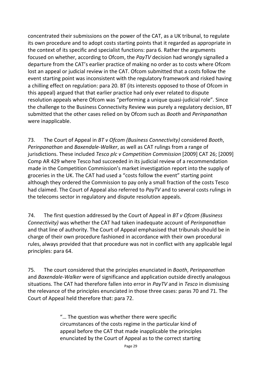concentrated their submissions on the power of the CAT, as a UK tribunal, to regulate its own procedure and to adopt costs starting points that it regarded as appropriate in the context of its specific and specialist functions: para 6. Rather the arguments focused on whether, according to Ofcom, the *PayTV* decision had wrongly signalled a departure from the CAT's earlier practice of making no order as to costs where Ofcom lost an appeal or judicial review in the CAT. Ofcom submitted that a costs follow the event starting point was inconsistent with the regulatory framework and risked having a chilling effect on regulation: para 20. BT (its interests opposed to those of Ofcom in this appeal) argued that that earlier practice had only ever related to dispute resolution appeals where Ofcom was "performing a unique quasi-judicial role". Since the challenge to the Business Connectivity Review was purely a regulatory decision, BT submitted that the other cases relied on by Ofcom such as *Booth* and *Perinpanathan*  were inapplicable.

73. The Court of Appeal in *BT v Ofcom (Business Connectivity)* considered *Booth*, *Perinpanathan* and *Baxendale-Walker*, as well as CAT rulings from a range of jurisdictions. These included *Tesco plc v Competition Commission* [2009] CAT 26; [2009] Comp AR 429 where Tesco had succeeded in its judicial review of a recommendation made in the Competition Commission's market investigation report into the supply of groceries in the UK. The CAT had used a "costs follow the event" starting point although they ordered the Commission to pay only a small fraction of the costs Tesco had claimed. The Court of Appeal also referred to *PayTV* and to several costs rulings in the telecoms sector in regulatory and dispute resolution appeals.

74. The first question addressed by the Court of Appeal in *BT v Ofcom (Business Connectivity)* was whether the CAT had taken inadequate account of *Perinpanathan*  and that line of authority. The Court of Appeal emphasised that tribunals should be in charge of their own procedure fashioned in accordance with their own procedural rules, always provided that that procedure was not in conflict with any applicable legal principles: para 64.

75. The court considered that the principles enunciated in *Booth*, *Perinpanathan* and *Baxendale-Walker* were of significance and application outside directly analogous situations. The CAT had therefore fallen into error in *PayTV* and in *Tesco* in dismissing the relevance of the principles enunciated in those three cases: paras 70 and 71. The Court of Appeal held therefore that: para 72.

> "… The question was whether there were specific circumstances of the costs regime in the particular kind of appeal before the CAT that made inapplicable the principles enunciated by the Court of Appeal as to the correct starting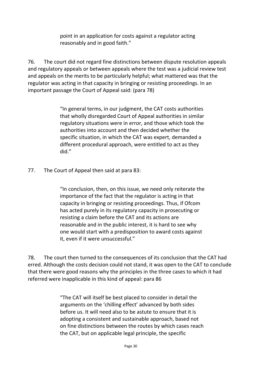point in an application for costs against a regulator acting reasonably and in good faith."

76. The court did not regard fine distinctions between dispute resolution appeals and regulatory appeals or between appeals where the test was a judicial review test and appeals on the merits to be particularly helpful; what mattered was that the regulator was acting in that capacity in bringing or resisting proceedings. In an important passage the Court of Appeal said: (para 78)

> "In general terms, in our judgment, the CAT costs authorities that wholly disregarded Court of Appeal authorities in similar regulatory situations were in error, and those which took the authorities into account and then decided whether the specific situation, in which the CAT was expert, demanded a different procedural approach, were entitled to act as they did."

77. The Court of Appeal then said at para 83:

"In conclusion, then, on this issue, we need only reiterate the importance of the fact that the regulator is acting in that capacity in bringing or resisting proceedings. Thus, if Ofcom has acted purely in its regulatory capacity in prosecuting or resisting a claim before the CAT and its actions are reasonable and in the public interest, it is hard to see why one would start with a predisposition to award costs against it, even if it were unsuccessful."

78. The court then turned to the consequences of its conclusion that the CAT had erred. Although the costs decision could not stand, it was open to the CAT to conclude that there were good reasons why the principles in the three cases to which it had referred were inapplicable in this kind of appeal: para 86

> "The CAT will itself be best placed to consider in detail the arguments on the 'chilling effect' advanced by both sides before us. It will need also to be astute to ensure that it is adopting a consistent and sustainable approach, based not on fine distinctions between the routes by which cases reach the CAT, but on applicable legal principle, the specific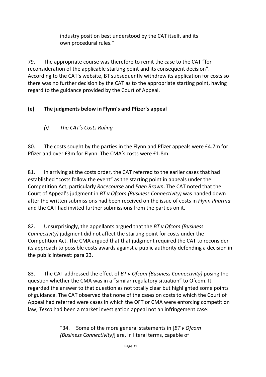industry position best understood by the CAT itself, and its own procedural rules."

79. The appropriate course was therefore to remit the case to the CAT "for reconsideration of the applicable starting point and its consequent decision". According to the CAT's website, BT subsequently withdrew its application for costs so there was no further decision by the CAT as to the appropriate starting point, having regard to the guidance provided by the Court of Appeal.

## **(e) The judgments below in Flynn's and Pfizer's appeal**

*(i) The CAT's Costs Ruling*

80. The costs sought by the parties in the Flynn and Pfizer appeals were £4.7m for Pfizer and over £3m for Flynn. The CMA's costs were £1.8m.

81. In arriving at the costs order, the CAT referred to the earlier cases that had established "costs follow the event" as the starting point in appeals under the Competition Act, particularly *Racecourse* and *Eden Brown*. The CAT noted that the Court of Appeal's judgment in *BT v Ofcom (Business Connectivity)* was handed down after the written submissions had been received on the issue of costs in *Flynn Pharma*  and the CAT had invited further submissions from the parties on it.

82. Unsurprisingly, the appellants argued that the *BT v Ofcom (Business Connectivity)* judgment did not affect the starting point for costs under the Competition Act. The CMA argued that that judgment required the CAT to reconsider its approach to possible costs awards against a public authority defending a decision in the public interest: para 23.

83. The CAT addressed the effect of *BT v Ofcom (Business Connectivity)* posing the question whether the CMA was in a "similar regulatory situation" to Ofcom. It regarded the answer to that question as not totally clear but highlighted some points of guidance. The CAT observed that none of the cases on costs to which the Court of Appeal had referred were cases in which the OFT or CMA were enforcing competition law; *Tesco* had been a market investigation appeal not an infringement case:

> "34. Some of the more general statements in [*BT v Ofcom (Business Connectivity)*] are, in literal terms, capable of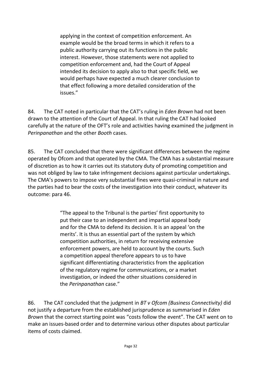applying in the context of competition enforcement. An example would be the broad terms in which it refers to a public authority carrying out its functions in the public interest. However, those statements were not applied to competition enforcement and, had the Court of Appeal intended its decision to apply also to that specific field, we would perhaps have expected a much clearer conclusion to that effect following a more detailed consideration of the issues."

84. The CAT noted in particular that the CAT's ruling in *Eden Brown* had not been drawn to the attention of the Court of Appeal. In that ruling the CAT had looked carefully at the nature of the OFT's role and activities having examined the judgment in *Perinpanathan* and the other *Booth* cases.

85. The CAT concluded that there were significant differences between the regime operated by Ofcom and that operated by the CMA. The CMA has a substantial measure of discretion as to how it carries out its statutory duty of promoting competition and was not obliged by law to take infringement decisions against particular undertakings. The CMA's powers to impose very substantial fines were quasi-criminal in nature and the parties had to bear the costs of the investigation into their conduct, whatever its outcome: para 46.

> "The appeal to the Tribunal is the parties' first opportunity to put their case to an independent and impartial appeal body and for the CMA to defend its decision. It is an appeal 'on the merits'. It is thus an essential part of the system by which competition authorities, in return for receiving extensive enforcement powers, are held to account by the courts. Such a competition appeal therefore appears to us to have significant differentiating characteristics from the application of the regulatory regime for communications, or a market investigation, or indeed the other situations considered in the *Perinpanathan* case."

86. The CAT concluded that the judgment in *BT v Ofcom (Business Connectivity)* did not justify a departure from the established jurisprudence as summarised in *Eden Brown* that the correct starting point was "costs follow the event". The CAT went on to make an issues-based order and to determine various other disputes about particular items of costs claimed.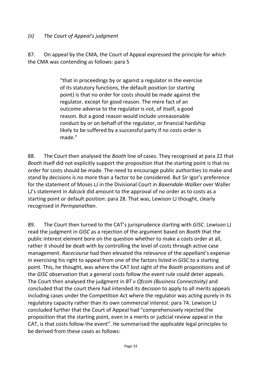#### *(ii) The Court of Appeal's judgment*

87. On appeal by the CMA, the Court of Appeal expressed the principle for which the CMA was contending as follows: para 5

> "that in proceedings by or against a regulator in the exercise of its statutory functions, the default position (or starting point) is that no order for costs should be made against the regulator, except for good reason. The mere fact of an outcome adverse to the regulator is not, of itself, a good reason. But a good reason would include unreasonable conduct by or on behalf of the regulator, or financial hardship likely to be suffered by a successful party if no costs order is made."

88. The Court then analysed the *Booth* line of cases. They recognised at para 22 that *Booth* itself did not explicitly support the proposition that the starting point is that no order for costs should be made. The need to encourage public authorities to make and stand by decisions is no more than a factor to be considered. But Sir Igor's preference for the statement of Moses LJ in the Divisional Court in *Baxendale-Walker* over Waller LJ's statement in *Adcock* did amount to the approval of no order as to costs as a starting point or default position: para 28. That was, Lewison LJ thought, clearly recognised in *Perinpanathan*.

89. The Court then turned to the CAT's jurisprudence starting with *GISC*. Lewison LJ read the judgment in *GISC* as a rejection of the argument based on *Booth* that the public interest element bore on the question whether to make a costs order at all, rather it should be dealt with by controlling the level of costs through active case management. *Racecourse* had then elevated the relevance of the appellant's expense in exercising his right to appeal from one of the factors listed in *GISC* to a starting point. This, he thought, was where the CAT lost sight of the *Booth* propositions and of the *GISC* observation that a general costs follow the event rule could deter appeals. The Court then analysed the judgment in *BT v Ofcom (Business Connectivity)* and concluded that the court there had intended its decision to apply to all merits appeals including cases under the Competition Act where the regulator was acting purely in its regulatory capacity rather than its own commercial interest: para 74. Lewison LJ concluded further that the Court of Appeal had "comprehensively rejected the proposition that the starting point, even in a merits or judicial review appeal in the CAT, is that costs follow the event". He summarised the applicable legal principles to be derived from these cases as follows: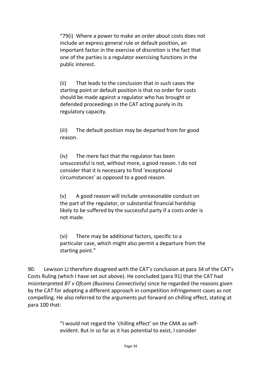"79(i) Where a power to make an order about costs does not include an express general rule or default position, an important factor in the exercise of discretion is the fact that one of the parties is a regulator exercising functions in the public interest.

(ii) That leads to the conclusion that in such cases the starting point or default position is that no order for costs should be made against a regulator who has brought or defended proceedings in the CAT acting purely in its regulatory capacity.

(iii) The default position may be departed from for good reason.

(iv) The mere fact that the regulator has been unsuccessful is not, without more, a good reason. I do not consider that it is necessary to find 'exceptional circumstances' as opposed to a good reason.

(v) A good reason will include unreasonable conduct on the part of the regulator, or substantial financial hardship likely to be suffered by the successful party if a costs order is not made.

(vi) There may be additional factors, specific to a particular case, which might also permit a departure from the starting point."

90. Lewison LJ therefore disagreed with the CAT's conclusion at para 34 of the CAT's Costs Ruling (which I have set out above). He concluded (para 91) that the CAT had misinterpreted *BT v Ofcom (Business Connectivity)* since he regarded the reasons given by the CAT for adopting a different approach in competition infringement cases as not compelling. He also referred to the arguments put forward on chilling effect, stating at para 100 that:

> "I would not regard the 'chilling effect' on the CMA as selfevident. But in so far as it has potential to exist, I consider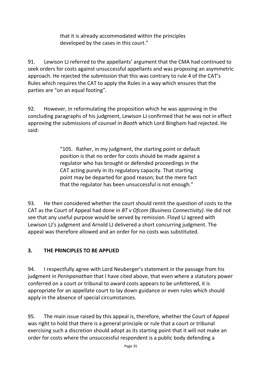that it is already accommodated within the principles developed by the cases in this court."

91. Lewison LJ referred to the appellants' argument that the CMA had continued to seek orders for costs against unsuccessful appellants and was proposing an asymmetric approach. He rejected the submission that this was contrary to rule 4 of the CAT's Rules which requires the CAT to apply the Rules in a way which ensures that the parties are "on an equal footing".

92. However, in reformulating the proposition which he was approving in the concluding paragraphs of his judgment, Lewison LJ confirmed that he was not in effect approving the submissions of counsel in *Booth* which Lord Bingham had rejected. He said:

> "105. Rather, in my judgment, the starting point or default position is that no order for costs should be made against a regulator who has brought or defended proceedings in the CAT acting purely in its regulatory capacity. That starting point may be departed for good reason; but the mere fact that the regulator has been unsuccessful is not enough."

93. He then considered whether the court should remit the question of costs to the CAT as the Court of Appeal had done in *BT v Ofcom (Business Connectivity)*. He did not see that any useful purpose would be served by remission. Floyd LJ agreed with Lewison LJ's judgment and Arnold LJ delivered a short concurring judgment. The appeal was therefore allowed and an order for no costs was substituted.

## **3. THE PRINCIPLES TO BE APPLIED**

94. I respectfully agree with Lord Neuberger's statement in the passage from his judgment in *Perinpanathan* that I have cited above, that even where a statutory power conferred on a court or tribunal to award costs appears to be unfettered, it is appropriate for an appellate court to lay down guidance or even rules which should apply in the absence of special circumstances.

95. The main issue raised by this appeal is, therefore, whether the Court of Appeal was right to hold that there is a general principle or rule that a court or tribunal exercising such a discretion should adopt as its starting point that it will not make an order for costs where the unsuccessful respondent is a public body defending a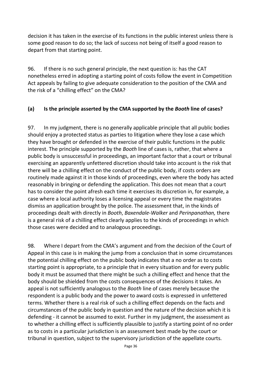decision it has taken in the exercise of its functions in the public interest unless there is some good reason to do so; the lack of success not being of itself a good reason to depart from that starting point.

96. If there is no such general principle, the next question is: has the CAT nonetheless erred in adopting a starting point of costs follow the event in Competition Act appeals by failing to give adequate consideration to the position of the CMA and the risk of a "chilling effect" on the CMA?

#### **(a) Is the principle asserted by the CMA supported by the** *Booth* **line of cases?**

97. In my judgment, there is no generally applicable principle that all public bodies should enjoy a protected status as parties to litigation where they lose a case which they have brought or defended in the exercise of their public functions in the public interest. The principle supported by the *Booth* line of cases is, rather, that where a public body is unsuccessful in proceedings, an important factor that a court or tribunal exercising an apparently unfettered discretion should take into account is the risk that there will be a chilling effect on the conduct of the public body, if costs orders are routinely made against it in those kinds of proceedings, even where the body has acted reasonably in bringing or defending the application. This does not mean that a court has to consider the point afresh each time it exercises its discretion in, for example, a case where a local authority loses a licensing appeal or every time the magistrates dismiss an application brought by the police. The assessment that, in the kinds of proceedings dealt with directly in *Booth*, *Baxendale-Walker* and *Perinpanathan,* there is a general risk of a chilling effect clearly applies to the kinds of proceedings in which those cases were decided and to analogous proceedings.

98. Where I depart from the CMA's argument and from the decision of the Court of Appeal in this case is in making the jump from a conclusion that in some circumstances the potential chilling effect on the public body indicates that a no order as to costs starting point is appropriate, to a principle that in every situation and for every public body it must be assumed that there might be such a chilling effect and hence that the body should be shielded from the costs consequences of the decisions it takes. An appeal is not sufficiently analogous to the *Booth* line of cases merely because the respondent is a public body and the power to award costs is expressed in unfettered terms. Whether there is a real risk of such a chilling effect depends on the facts and circumstances of the public body in question and the nature of the decision which it is defending - it cannot be assumed to exist. Further in my judgment, the assessment as to whether a chilling effect is sufficiently plausible to justify a starting point of no order as to costs in a particular jurisdiction is an assessment best made by the court or tribunal in question, subject to the supervisory jurisdiction of the appellate courts.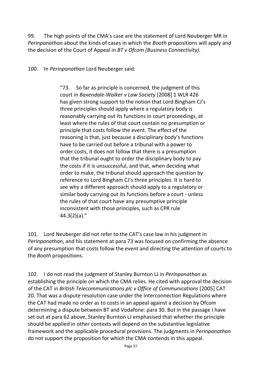99. The high points of the CMA's case are the statement of Lord Neuberger MR in *Perinpanathan* about the kinds of cases in which the *Booth* propositions will apply and the decision of the Court of Appeal in *BT v Ofcom (Business Connectivity)*.

100. In *Perinpanathan* Lord Neuberger said:

"73. So far as principle is concerned, the judgment of this court in *Baxendale-Walker v Law Society* [2008] 1 WLR 426 has given strong support to the notion that Lord Bingham CJ's three principles should apply where a regulatory body is reasonably carrying out its functions in court proceedings, at least where the rules of that court contain no presumption or principle that costs follow the event. The effect of the reasoning is that, just because a disciplinary body's functions have to be carried out before a tribunal with a power to order costs, it does not follow that there is a presumption that the tribunal ought to order the disciplinary body to pay the costs if it is unsuccessful, and that, when deciding what order to make, the tribunal should approach the question by reference to Lord Bingham CJ's three principles. It is hard to see why a different approach should apply to a regulatory or similar body carrying out its functions before a court - unless the rules of that court have any presumptive principle inconsistent with those principles, such as CPR rule 44.3(2)(a)."

101. Lord Neuberger did not refer to the CAT's case law in his judgment in *Perinpanathan*, and his statement at para 73 was focused on confirming the absence of any presumption that costs follow the event and directing the attention of courts to the *Booth* propositions.

102. I do not read the judgment of Stanley Burnton LJ in *Perinpanathan* as establishing the principle on which the CMA relies. He cited with approval the decision of the CAT in *British Telecommunications plc v Office of Communications* [2005] CAT 20. That was a dispute resolution case under the Interconnection Regulations where the CAT had made no order as to costs in an appeal against a decision by Ofcom determining a dispute between BT and Vodafone: para 30. But in the passage I have set out at para [62](#page-25-0) above, Stanley Burnton LJ emphasised that whether the principle should be applied in other contexts will depend on the substantive legislative framework and the applicable procedural provisions. The judgments in *Perinpanathan*  do not support the proposition for which the CMA contends in this appeal.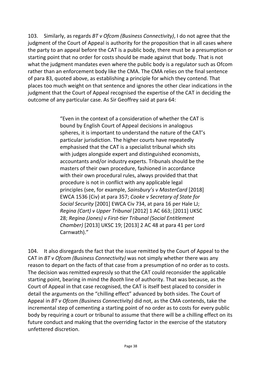103. Similarly, as regards *BT v Ofcom (Business Connectivity)*, I do not agree that the judgment of the Court of Appeal is authority for the proposition that in all cases where the party to an appeal before the CAT is a public body, there must be a presumption or starting point that no order for costs should be made against that body. That is not what the judgment mandates even where the public body is a regulator such as Ofcom rather than an enforcement body like the CMA. The CMA relies on the final sentence of para 83, quoted above, as establishing a principle for which they contend. That places too much weight on that sentence and ignores the other clear indications in the judgment that the Court of Appeal recognised the expertise of the CAT in deciding the outcome of any particular case. As Sir Geoffrey said at para 64:

> "Even in the context of a consideration of whether the CAT is bound by English Court of Appeal decisions in analogous spheres, it is important to understand the nature of the CAT's particular jurisdiction. The higher courts have repeatedly emphasised that the CAT is a specialist tribunal which sits with judges alongside expert and distinguished economists, accountants and/or industry experts. Tribunals should be the masters of their own procedure, fashioned in accordance with their own procedural rules, always provided that that procedure is not in conflict with any applicable legal principles (see, for example, *Sainsbury's v MasterCard* [2018] EWCA 1536 (Civ) at para 357; *Cooke v Secretary of State for Social Security* [2001] EWCA Civ 734, at para 16 per Hale LJ; *Regina (Cart) v Upper Tribunal* [2012] 1 AC 663; [2011] UKSC 28; *Regina (Jones) v First-tier Tribunal (Social Entitlement Chamber)* [2013] UKSC 19; [2013] 2 AC 48 at para 41 per Lord Carnwath)."

104. It also disregards the fact that the issue remitted by the Court of Appeal to the CAT in *BT v Ofcom (Business Connectivity)* was not simply whether there was any reason to depart on the facts of that case from a presumption of no order as to costs. The decision was remitted expressly so that the CAT could reconsider the applicable starting point, bearing in mind the *Booth* line of authority. That was because, as the Court of Appeal in that case recognised, the CAT is itself best placed to consider in detail the arguments on the "chilling effect" advanced by both sides. The Court of Appeal in *BT v Ofcom (Business Connectivity)* did not, as the CMA contends, take the incremental step of cementing a starting point of no order as to costs for every public body by requiring a court or tribunal to assume that there will be a chilling effect on its future conduct and making that the overriding factor in the exercise of the statutory unfettered discretion.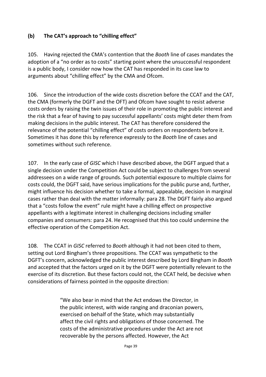## **(b) The CAT's approach to "chilling effect"**

105. Having rejected the CMA's contention that the *Booth* line of cases mandates the adoption of a "no order as to costs" starting point where the unsuccessful respondent is a public body, I consider now how the CAT has responded in its case law to arguments about "chilling effect" by the CMA and Ofcom.

106. Since the introduction of the wide costs discretion before the CCAT and the CAT, the CMA (formerly the DGFT and the OFT) and Ofcom have sought to resist adverse costs orders by raising the twin issues of their role in promoting the public interest and the risk that a fear of having to pay successful appellants' costs might deter them from making decisions in the public interest. The CAT has therefore considered the relevance of the potential "chilling effect" of costs orders on respondents before it. Sometimes it has done this by reference expressly to the *Booth* line of cases and sometimes without such reference.

107. In the early case of *GISC* which I have described above, the DGFT argued that a single decision under the Competition Act could be subject to challenges from several addressees on a wide range of grounds. Such potential exposure to multiple claims for costs could, the DGFT said, have serious implications for the public purse and, further, might influence his decision whether to take a formal, appealable, decision in marginal cases rather than deal with the matter informally: para 28. The DGFT fairly also argued that a "costs follow the event" rule might have a chilling effect on prospective appellants with a legitimate interest in challenging decisions including smaller companies and consumers: para 24. He recognised that this too could undermine the effective operation of the Competition Act.

108. The CCAT in *GISC* referred to *Booth* although it had not been cited to them, setting out Lord Bingham's three propositions. The CCAT was sympathetic to the DGFT's concern, acknowledged the public interest described by Lord Bingham in *Booth*  and accepted that the factors urged on it by the DGFT were potentially relevant to the exercise of its discretion. But these factors could not, the CCAT held, be decisive when considerations of fairness pointed in the opposite direction:

> "We also bear in mind that the Act endows the Director, in the public interest, with wide ranging and draconian powers, exercised on behalf of the State, which may substantially affect the civil rights and obligations of those concerned. The costs of the administrative procedures under the Act are not recoverable by the persons affected. However, the Act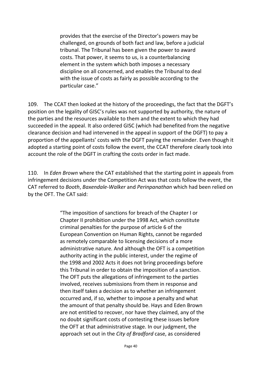provides that the exercise of the Director's powers may be challenged, on grounds of both fact and law, before a judicial tribunal. The Tribunal has been given the power to award costs. That power, it seems to us, is a counterbalancing element in the system which both imposes a necessary discipline on all concerned, and enables the Tribunal to deal with the issue of costs as fairly as possible according to the particular case."

109. The CCAT then looked at the history of the proceedings, the fact that the DGFT's position on the legality of GISC's rules was not supported by authority, the nature of the parties and the resources available to them and the extent to which they had succeeded in the appeal. It also ordered GISC (which had benefited from the negative clearance decision and had intervened in the appeal in support of the DGFT) to pay a proportion of the appellants' costs with the DGFT paying the remainder. Even though it adopted a starting point of costs follow the event, the CCAT therefore clearly took into account the role of the DGFT in crafting the costs order in fact made.

110. In *Eden Brown* where the CAT established that the starting point in appeals from infringement decisions under the Competition Act was that costs follow the event, the CAT referred to *Booth*, *Baxendale-Walker* and *Perinpanathan* which had been relied on by the OFT. The CAT said:

> "The imposition of sanctions for breach of the Chapter I or Chapter II prohibition under the 1998 Act, which constitute criminal penalties for the purpose of article 6 of the European Convention on Human Rights, cannot be regarded as remotely comparable to licensing decisions of a more administrative nature. And although the OFT is a competition authority acting in the public interest, under the regime of the 1998 and 2002 Acts it does not bring proceedings before this Tribunal in order to obtain the imposition of a sanction. The OFT puts the allegations of infringement to the parties involved, receives submissions from them in response and then itself takes a decision as to whether an infringement occurred and, if so, whether to impose a penalty and what the amount of that penalty should be. Hays and Eden Brown are not entitled to recover, nor have they claimed, any of the no doubt significant costs of contesting these issues before the OFT at that administrative stage. In our judgment, the approach set out in the *City of Bradford* case, as considered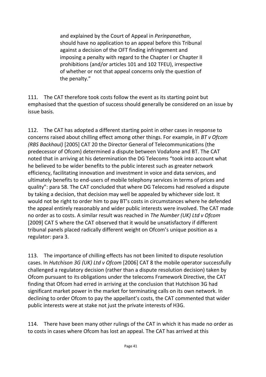and explained by the Court of Appeal in *Perinpanathan*, should have no application to an appeal before this Tribunal against a decision of the OFT finding infringement and imposing a penalty with regard to the Chapter I or Chapter II prohibitions (and/or articles 101 and 102 TFEU), irrespective of whether or not that appeal concerns only the question of the penalty."

111. The CAT therefore took costs follow the event as its starting point but emphasised that the question of success should generally be considered on an issue by issue basis.

112. The CAT has adopted a different starting point in other cases in response to concerns raised about chilling effect among other things. For example, in *BT v Ofcom (RBS Backhaul)* [2005] CAT 20 the Director General of Telecommunications (the predecessor of Ofcom) determined a dispute between Vodafone and BT. The CAT noted that in arriving at his determination the DG Telecoms "took into account what he believed to be wider benefits to the public interest such as greater network efficiency, facilitating innovation and investment in voice and data services, and ultimately benefits to end-users of mobile telephony services in terms of prices and quality": para 58. The CAT concluded that where DG Telecoms had resolved a dispute by taking a decision, that decision may well be appealed by whichever side lost. It would not be right to order him to pay BT's costs in circumstances where he defended the appeal entirely reasonably and wider public interests were involved. The CAT made no order as to costs. A similar result was reached in *The Number (UK) Ltd v Ofcom*  [2009] CAT 5 where the CAT observed that it would be unsatisfactory if different tribunal panels placed radically different weight on Ofcom's unique position as a regulator: para 3.

113. The importance of chilling effects has not been limited to dispute resolution cases. In *Hutchison 3G (UK) Ltd v Ofcom* [2006] CAT 8 the mobile operator successfully challenged a regulatory decision (rather than a dispute resolution decision) taken by Ofcom pursuant to its obligations under the telecoms Framework Directive, the CAT finding that Ofcom had erred in arriving at the conclusion that Hutchison 3G had significant market power in the market for terminating calls on its own network. In declining to order Ofcom to pay the appellant's costs, the CAT commented that wider public interests were at stake not just the private interests of H3G.

114. There have been many other rulings of the CAT in which it has made no order as to costs in cases where Ofcom has lost an appeal. The CAT has arrived at this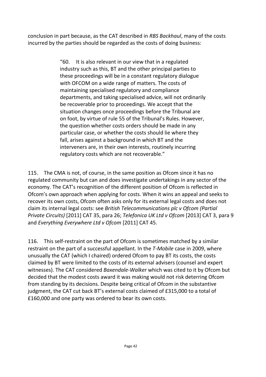conclusion in part because, as the CAT described in *RBS Backhaul*, many of the costs incurred by the parties should be regarded as the costs of doing business:

> "60. It is also relevant in our view that in a regulated industry such as this, BT and the other principal parties to these proceedings will be in a constant regulatory dialogue with OFCOM on a wide range of matters. The costs of maintaining specialised regulatory and compliance departments, and taking specialised advice, will not ordinarily be recoverable prior to proceedings. We accept that the situation changes once proceedings before the Tribunal are on foot, by virtue of rule 55 of the Tribunal's Rules. However, the question whether costs orders should be made in any particular case, or whether the costs should lie where they fall, arises against a background in which BT and the interveners are, in their own interests, routinely incurring regulatory costs which are not recoverable."

115. The CMA is not, of course, in the same position as Ofcom since it has no regulated community but can and does investigate undertakings in any sector of the economy. The CAT's recognition of the different position of Ofcom is reflected in Ofcom's own approach when applying for costs. When it wins an appeal and seeks to recover its own costs, Ofcom often asks only for its external legal costs and does not claim its internal legal costs: see *British Telecommunications plc v Ofcom (Partial Private Circuits)* [2011] CAT 35, para 26; *Telefonica UK Ltd v Ofcom* [2013] CAT 3, para 9 and *Everything Everywhere Ltd v Ofcom* [2011] CAT 45.

116. This self-restraint on the part of Ofcom is sometimes matched by a similar restraint on the part of a successful appellant. In the *T-Mobile* case in 2009, where unusually the CAT (which I chaired) ordered Ofcom to pay BT its costs, the costs claimed by BT were limited to the costs of its external advisers (counsel and expert witnesses). The CAT considered *Baxendale-Walker* which was cited to it by Ofcom but decided that the modest costs award it was making would not risk deterring Ofcom from standing by its decisions. Despite being critical of Ofcom in the substantive judgment, the CAT cut back BT's external costs claimed of £315,000 to a total of £160,000 and one party was ordered to bear its own costs.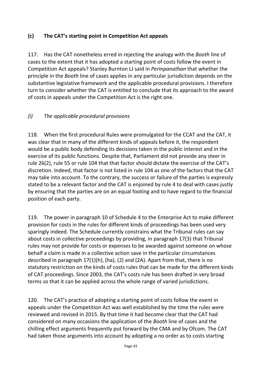## **(c) The CAT's starting point in Competition Act appeals**

117. Has the CAT nonetheless erred in rejecting the analogy with the *Booth* line of cases to the extent that it has adopted a starting point of costs follow the event in Competition Act appeals? Stanley Burnton LJ said in *Perinpanathan* that whether the principle in the *Booth* line of cases applies in any particular jurisdiction depends on the substantive legislative framework and the applicable procedural provisions. I therefore turn to consider whether the CAT is entitled to conclude that its approach to the award of costs in appeals under the Competition Act is the right one.

## *(i) The applicable procedural provisions*

118. When the first procedural Rules were promulgated for the CCAT and the CAT, it was clear that in many of the different kinds of appeals before it, the respondent would be a public body defending its decisions taken in the public interest and in the exercise of its public functions. Despite that, Parliament did not provide any steer in rule 26(2), rule 55 or rule 104 that that factor should dictate the exercise of the CAT's discretion. Indeed, that factor is not listed in rule 104 as one of the factors that the CAT may take into account. To the contrary, the success or failure of the parties is expressly stated to be a relevant factor and the CAT is enjoined by rule 4 to deal with cases justly by ensuring that the parties are on an equal footing and to have regard to the financial position of each party.

119. The power in paragraph 10 of Schedule 4 to the Enterprise Act to make different provision for costs in the rules for different kinds of proceedings has been used very sparingly indeed. The Schedule currently constrains what the Tribunal rules can say about costs in collective proceedings by providing, in paragraph 17(3) that Tribunal rules may not provide for costs or expenses to be awarded against someone on whose behalf a claim is made in a collective action save in the particular circumstances described in paragraph 17(1)(h), (ha), (2) and (2A). Apart from that, there is no statutory restriction on the kinds of costs rules that can be made for the different kinds of CAT proceedings. Since 2003, the CAT's costs rule has been drafted in very broad terms so that it can be applied across the whole range of varied jurisdictions.

120. The CAT's practice of adopting a starting point of costs follow the event in appeals under the Competition Act was well established by the time the rules were reviewed and revised in 2015. By that time it had become clear that the CAT had considered on many occasions the application of the *Booth* line of cases and the chilling effect arguments frequently put forward by the CMA and by Ofcom. The CAT had taken those arguments into account by adopting a no order as to costs starting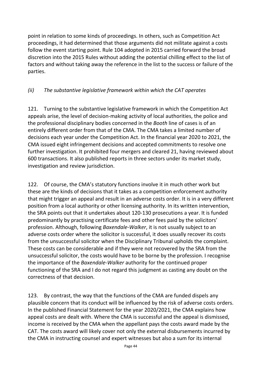point in relation to some kinds of proceedings. In others, such as Competition Act proceedings, it had determined that those arguments did not militate against a costs follow the event starting point. Rule 104 adopted in 2015 carried forward the broad discretion into the 2015 Rules without adding the potential chilling effect to the list of factors and without taking away the reference in the list to the success or failure of the parties.

## *(ii) The substantive legislative framework within which the CAT operates*

121. Turning to the substantive legislative framework in which the Competition Act appeals arise, the level of decision-making activity of local authorities, the police and the professional disciplinary bodies concerned in the *Booth* line of cases is of an entirely different order from that of the CMA. The CMA takes a limited number of decisions each year under the Competition Act. In the financial year 2020 to 2021, the CMA issued eight infringement decisions and accepted commitments to resolve one further investigation. It prohibited four mergers and cleared 21, having reviewed about 600 transactions. It also published reports in three sectors under its market study, investigation and review jurisdiction.

122. Of course, the CMA's statutory functions involve it in much other work but these are the kinds of decisions that it takes as a competition enforcement authority that might trigger an appeal and result in an adverse costs order. It is in a very different position from a local authority or other licensing authority. In its written intervention, the SRA points out that it undertakes about 120-130 prosecutions a year. It is funded predominantly by practising certificate fees and other fees paid by the solicitors' profession. Although, following *Baxendale-Walker*, it is not usually subject to an adverse costs order where the solicitor is successful, it does usually recover its costs from the unsuccessful solicitor when the Disciplinary Tribunal upholds the complaint. These costs can be considerable and if they were not recovered by the SRA from the unsuccessful solicitor, the costs would have to be borne by the profession. I recognise the importance of the *Baxendale-Walker* authority for the continued proper functioning of the SRA and I do not regard this judgment as casting any doubt on the correctness of that decision.

123. By contrast, the way that the functions of the CMA are funded dispels any plausible concern that its conduct will be influenced by the risk of adverse costs orders. In the published Financial Statement for the year 2020/2021, the CMA explains how appeal costs are dealt with. Where the CMA is successful and the appeal is dismissed, income is received by the CMA when the appellant pays the costs award made by the CAT. The costs award will likely cover not only the external disbursements incurred by the CMA in instructing counsel and expert witnesses but also a sum for its internal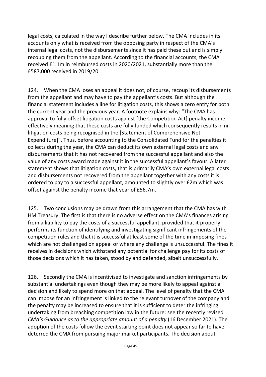legal costs, calculated in the way I describe further below. The CMA includes in its accounts only what is received from the opposing party in respect of the CMA's internal legal costs, not the disbursements since it has paid these out and is simply recouping them from the appellant. According to the financial accounts, the CMA received £1.1m in reimbursed costs in 2020/2021, substantially more than the £587,000 received in 2019/20.

124. When the CMA loses an appeal it does not, of course, recoup its disbursements from the appellant and may have to pay the appellant's costs. But although the financial statement includes a line for litigation costs, this shows a zero entry for both the current year and the previous year. A footnote explains why: "The CMA has approval to fully offset litigation costs against [the Competition Act] penalty income effectively meaning that these costs are fully funded which consequently results in nil litigation costs being recognised in the [Statement of Comprehensive Net Expenditure]". Thus, before accounting to the Consolidated Fund for the penalties it collects during the year, the CMA can deduct its own external legal costs and any disbursements that it has not recovered from the successful appellant and also the value of any costs award made against it in the successful appellant's favour. A later statement shows that litigation costs, that is primarily CMA's own external legal costs and disbursements not recovered from the appellant together with any costs it is ordered to pay to a successful appellant, amounted to slightly over £2m which was offset against the penalty income that year of £56.7m.

125. Two conclusions may be drawn from this arrangement that the CMA has with HM Treasury. The first is that there is no adverse effect on the CMA's finances arising from a liability to pay the costs of a successful appellant, provided that it properly performs its function of identifying and investigating significant infringements of the competition rules and that it is successful at least some of the time in imposing fines which are not challenged on appeal or where any challenge is unsuccessful. The fines it receives in decisions which withstand any potential for challenge pay for its costs of those decisions which it has taken, stood by and defended, albeit unsuccessfully.

126. Secondly the CMA is incentivised to investigate and sanction infringements by substantial undertakings even though they may be more likely to appeal against a decision and likely to spend more on that appeal. The level of penalty that the CMA can impose for an infringement is linked to the relevant turnover of the company and the penalty may be increased to ensure that it is sufficient to deter the infringing undertaking from breaching competition law in the future: see the recently revised *CMA's Guidance as to the appropriate amount of a penalty* (16 December 2021). The adoption of the costs follow the event starting point does not appear so far to have deterred the CMA from pursuing major market participants. The decision about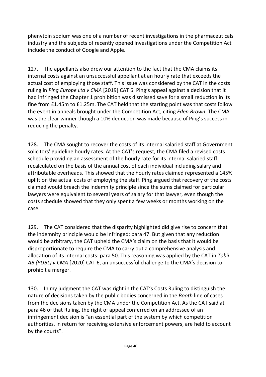phenytoin sodium was one of a number of recent investigations in the pharmaceuticals industry and the subjects of recently opened investigations under the Competition Act include the conduct of Google and Apple.

127. The appellants also drew our attention to the fact that the CMA claims its internal costs against an unsuccessful appellant at an hourly rate that exceeds the actual cost of employing those staff. This issue was considered by the CAT in the costs ruling in *Ping Europe Ltd v CMA* [2019] CAT 6. Ping's appeal against a decision that it had infringed the Chapter 1 prohibition was dismissed save for a small reduction in its fine from £1.45m to £1.25m. The CAT held that the starting point was that costs follow the event in appeals brought under the Competition Act, citing *Eden Brown*. The CMA was the clear winner though a 10% deduction was made because of Ping's success in reducing the penalty.

128. The CMA sought to recover the costs of its internal salaried staff at Government solicitors' guideline hourly rates. At the CAT's request, the CMA filed a revised costs schedule providing an assessment of the hourly rate for its internal salaried staff recalculated on the basis of the annual cost of each individual including salary and attributable overheads. This showed that the hourly rates claimed represented a 145% uplift on the actual costs of employing the staff. Ping argued that recovery of the costs claimed would breach the indemnity principle since the sums claimed for particular lawyers were equivalent to several years of salary for that lawyer, even though the costs schedule showed that they only spent a few weeks or months working on the case.

129. The CAT considered that the disparity highlighted did give rise to concern that the indemnity principle would be infringed: para 47. But given that any reduction would be arbitrary, the CAT upheld the CMA's claim on the basis that it would be disproportionate to require the CMA to carry out a comprehensive analysis and allocation of its internal costs: para 50. This reasoning was applied by the CAT in *Tobii AB (PUBL) v CMA* [2020] CAT 6, an unsuccessful challenge to the CMA's decision to prohibit a merger.

130. In my judgment the CAT was right in the CAT's Costs Ruling to distinguish the nature of decisions taken by the public bodies concerned in the *Booth* line of cases from the decisions taken by the CMA under the Competition Act. As the CAT said at para 46 of that Ruling, the right of appeal conferred on an addressee of an infringement decision is "an essential part of the system by which competition authorities, in return for receiving extensive enforcement powers, are held to account by the courts".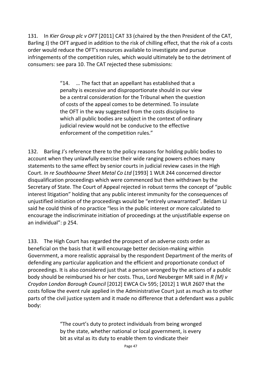131. In *Kier Group plc v OFT* [2011] CAT 33 (chaired by the then President of the CAT, Barling J) the OFT argued in addition to the risk of chilling effect, that the risk of a costs order would reduce the OFT's resources available to investigate and pursue infringements of the competition rules, which would ultimately be to the detriment of consumers: see para 10. The CAT rejected these submissions:

> "14. … The fact that an appellant has established that a penalty is excessive and disproportionate should in our view be a central consideration for the Tribunal when the question of costs of the appeal comes to be determined. To insulate the OFT in the way suggested from the costs discipline to which all public bodies are subject in the context of ordinary judicial review would not be conducive to the effective enforcement of the competition rules."

132. Barling J's reference there to the policy reasons for holding public bodies to account when they unlawfully exercise their wide ranging powers echoes many statements to the same effect by senior courts in judicial review cases in the High Court. *In re Southbourne Sheet Metal Co Ltd* [1993] 1 WLR 244 concerned director disqualification proceedings which were commenced but then withdrawn by the Secretary of State. The Court of Appeal rejected in robust terms the concept of "public interest litigation" holding that any public interest immunity for the consequences of unjustified initiation of the proceedings would be "entirely unwarranted". Beldam LJ said he could think of no practice "less in the public interest or more calculated to encourage the indiscriminate initiation of proceedings at the unjustifiable expense on an individual": p 254.

133. The High Court has regarded the prospect of an adverse costs order as beneficial on the basis that it will encourage better decision-making within Government, a more realistic appraisal by the respondent Department of the merits of defending any particular application and the efficient and proportionate conduct of proceedings. It is also considered just that a person wronged by the actions of a public body should be reimbursed his or her costs. Thus, Lord Neuberger MR said in *R (M) v Croydon London Borough Council* [2012] EWCA Civ 595; [2012] 1 WLR 2607 that the costs follow the event rule applied in the Administrative Court just as much as to other parts of the civil justice system and it made no difference that a defendant was a public body:

> "The court's duty to protect individuals from being wronged by the state, whether national or local government, is every bit as vital as its duty to enable them to vindicate their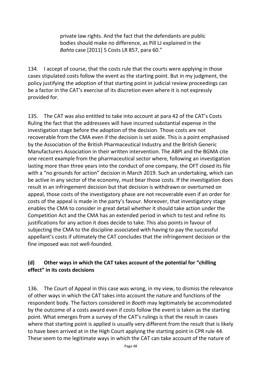private law rights. And the fact that the defendants are public bodies should make no difference, as Pill LJ explained in the *Bahta* case [2011] 5 Costs LR 857, para 60."

134. I accept of course, that the costs rule that the courts were applying in those cases stipulated costs follow the event as the starting point. But in my judgment, the policy justifying the adoption of that starting point in judicial review proceedings can be a factor in the CAT's exercise of its discretion even where it is not expressly provided for.

135. The CAT was also entitled to take into account at para 42 of the CAT's Costs Ruling the fact that the addressees will have incurred substantial expense in the investigation stage before the adoption of the decision. Those costs are not recoverable from the CMA even if the decision is set aside. This is a point emphasised by the Association of the British Pharmaceutical Industry and the British Generic Manufacturers Association in their written intervention. The ABPI and the BGMA cite one recent example from the pharmaceutical sector where, following an investigation lasting more than three years into the conduct of one company, the OFT closed its file with a "no grounds for action" decision in March 2019. Such an undertaking, which can be active in any sector of the economy, must bear those costs. If the investigation does result in an infringement decision but that decision is withdrawn or overturned on appeal, those costs of the investigatory phase are not recoverable even if an order for costs of the appeal is made in the party's favour. Moreover, that investigatory stage enables the CMA to consider in great detail whether it should take action under the Competition Act and the CMA has an extended period in which to test and refine its justifications for any action it does decide to take. This also points in favour of subjecting the CMA to the discipline associated with having to pay the successful appellant's costs if ultimately the CAT concludes that the infringement decision or the fine imposed was not well-founded.

## **(d) Other ways in which the CAT takes account of the potential for "chilling effect" in its costs decisions**

136. The Court of Appeal in this case was wrong, in my view, to dismiss the relevance of other ways in which the CAT takes into account the nature and functions of the respondent body. The factors considered in *Booth* may legitimately be accommodated by the outcome of a costs award even if costs follow the event is taken as the starting point. What emerges from a survey of the CAT's rulings is that the result in cases where that starting point is applied is usually very different from the result that is likely to have been arrived at in the High Court applying the starting point in CPR rule 44. These seem to me legitimate ways in which the CAT can take account of the nature of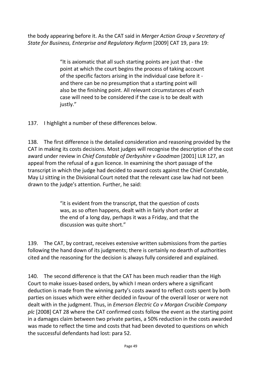the body appearing before it. As the CAT said in *Merger Action Group v Secretary of State for Business, Enterprise and Regulatory Reform* [2009] CAT 19, para 19:

> "It is axiomatic that all such starting points are just that - the point at which the court begins the process of taking account of the specific factors arising in the individual case before it and there can be no presumption that a starting point will also be the finishing point. All relevant circumstances of each case will need to be considered if the case is to be dealt with justly."

137. I highlight a number of these differences below.

138. The first difference is the detailed consideration and reasoning provided by the CAT in making its costs decisions. Most judges will recognise the description of the cost award under review in *Chief Constable of Derbyshire v Goodman* [2001] LLR 127, an appeal from the refusal of a gun licence. In examining the short passage of the transcript in which the judge had decided to award costs against the Chief Constable, May LJ sitting in the Divisional Court noted that the relevant case law had not been drawn to the judge's attention. Further, he said:

> "it is evident from the transcript, that the question of costs was, as so often happens, dealt with in fairly short order at the end of a long day, perhaps it was a Friday, and that the discussion was quite short."

139. The CAT, by contrast, receives extensive written submissions from the parties following the hand down of its judgments; there is certainly no dearth of authorities cited and the reasoning for the decision is always fully considered and explained.

140. The second difference is that the CAT has been much readier than the High Court to make issues-based orders, by which I mean orders where a significant deduction is made from the winning party's costs award to reflect costs spent by both parties on issues which were either decided in favour of the overall loser or were not dealt with in the judgment. Thus, in *Emerson Electric Co v Morgan Crucible Company plc* [2008] CAT 28 where the CAT confirmed costs follow the event as the starting point in a damages claim between two private parties, a 50% reduction in the costs awarded was made to reflect the time and costs that had been devoted to questions on which the successful defendants had lost: para 52.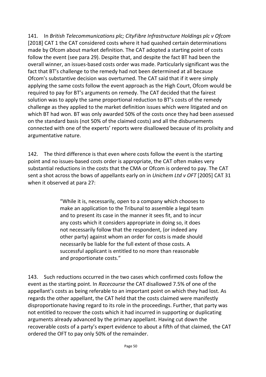141. In *British Telecommunications plc; CityFibre Infrastructure Holdings plc v Ofcom*  [2018] CAT 1 the CAT considered costs where it had quashed certain determinations made by Ofcom about market definition. The CAT adopted a starting point of costs follow the event (see para 29). Despite that, and despite the fact BT had been the overall winner, an issues-based costs order was made. Particularly significant was the fact that BT's challenge to the remedy had not been determined at all because Ofcom's substantive decision was overturned. The CAT said that if it were simply applying the same costs follow the event approach as the High Court, Ofcom would be required to pay for BT's arguments on remedy. The CAT decided that the fairest solution was to apply the same proportional reduction to BT's costs of the remedy challenge as they applied to the market definition issues which were litigated and on which BT had won. BT was only awarded 50% of the costs once they had been assessed on the standard basis (not 50% of the claimed costs) and all the disbursements connected with one of the experts' reports were disallowed because of its prolixity and argumentative nature.

142. The third difference is that even where costs follow the event is the starting point and no issues-based costs order is appropriate, the CAT often makes very substantial reductions in the costs that the CMA or Ofcom is ordered to pay. The CAT sent a shot across the bows of appellants early on in *Unichem Ltd v OFT* [2005] CAT 31 when it observed at para 27:

> "While it is, necessarily, open to a company which chooses to make an application to the Tribunal to assemble a legal team and to present its case in the manner it sees fit, and to incur any costs which it considers appropriate in doing so, it does not necessarily follow that the respondent, (or indeed any other party) against whom an order for costs is made should necessarily be liable for the full extent of those costs. A successful applicant is entitled to no more than reasonable and proportionate costs."

143. Such reductions occurred in the two cases which confirmed costs follow the event as the starting point. In *Racecourse* the CAT disallowed 7.5% of one of the appellant's costs as being referable to an important point on which they had lost. As regards the other appellant, the CAT held that the costs claimed were manifestly disproportionate having regard to its role in the proceedings. Further, that party was not entitled to recover the costs which it had incurred in supporting or duplicating arguments already advanced by the primary appellant. Having cut down the recoverable costs of a party's expert evidence to about a fifth of that claimed, the CAT ordered the OFT to pay only 50% of the remainder.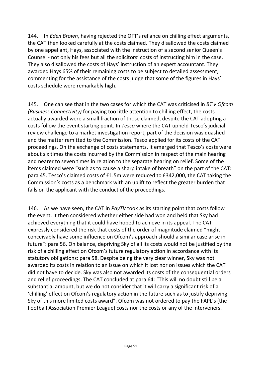144. In *Eden Brown*, having rejected the OFT's reliance on chilling effect arguments, the CAT then looked carefully at the costs claimed. They disallowed the costs claimed by one appellant, Hays, associated with the instruction of a second senior Queen's Counsel - not only his fees but all the solicitors' costs of instructing him in the case. They also disallowed the costs of Hays' instruction of an expert accountant. They awarded Hays 65% of their remaining costs to be subject to detailed assessment, commenting for the assistance of the costs judge that some of the figures in Hays' costs schedule were remarkably high.

145. One can see that in the two cases for which the CAT was criticised in *BT v Ofcom (Business Connectivity)* for paying too little attention to chilling effect, the costs actually awarded were a small fraction of those claimed, despite the CAT adopting a costs follow the event starting point. In *Tesco* where the CAT upheld Tesco's judicial review challenge to a market investigation report, part of the decision was quashed and the matter remitted to the Commission. Tesco applied for its costs of the CAT proceedings. On the exchange of costs statements, it emerged that Tesco's costs were about six times the costs incurred by the Commission in respect of the main hearing and nearer to seven times in relation to the separate hearing on relief. Some of the items claimed were "such as to cause a sharp intake of breath" on the part of the CAT: para 45. Tesco's claimed costs of £1.5m were reduced to £342,000, the CAT taking the Commission's costs as a benchmark with an uplift to reflect the greater burden that falls on the applicant with the conduct of the proceedings.

146. As we have seen, the CAT in *PayTV* took as its starting point that costs follow the event. It then considered whether either side had won and held that Sky had achieved everything that it could have hoped to achieve in its appeal. The CAT expressly considered the risk that costs of the order of magnitude claimed "might conceivably have some influence on Ofcom's approach should a similar case arise in future": para 56. On balance, depriving Sky of all its costs would not be justified by the risk of a chilling effect on Ofcom's future regulatory action in accordance with its statutory obligations: para 58. Despite being the very clear winner, Sky was not awarded its costs in relation to an issue on which it lost nor on issues which the CAT did not have to decide. Sky was also not awarded its costs of the consequential orders and relief proceedings. The CAT concluded at para 64: "This will no doubt still be a substantial amount, but we do not consider that it will carry a significant risk of a 'chilling' effect on Ofcom's regulatory action in the future such as to justify depriving Sky of this more limited costs award". Ofcom was not ordered to pay the FAPL's (the Football Association Premier League) costs nor the costs or any of the interveners.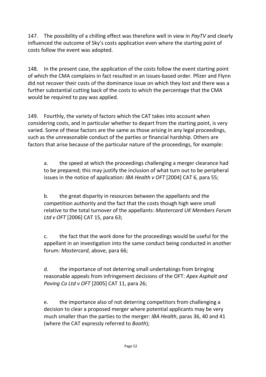147. The possibility of a chilling effect was therefore well in view in *PayTV* and clearly influenced the outcome of Sky's costs application even where the starting point of costs follow the event was adopted.

148. In the present case, the application of the costs follow the event starting point of which the CMA complains in fact resulted in an issues-based order. Pfizer and Flynn did not recover their costs of the dominance issue on which they lost and there was a further substantial cutting back of the costs to which the percentage that the CMA would be required to pay was applied.

149. Fourthly, the variety of factors which the CAT takes into account when considering costs, and in particular whether to depart from the starting point, is very varied. Some of these factors are the same as those arising in any legal proceedings, such as the unreasonable conduct of the parties or financial hardship. Others are factors that arise because of the particular nature of the proceedings, for example:

a. the speed at which the proceedings challenging a merger clearance had to be prepared; this may justify the inclusion of what turn out to be peripheral issues in the notice of application: *IBA Health v OFT* [2004] CAT 6, para 55;

b. the great disparity in resources between the appellants and the competition authority and the fact that the costs though high were small relative to the total turnover of the appellants: *Mastercard UK Members Forum Ltd v OFT* [2006] CAT 15, para 63;

c. the fact that the work done for the proceedings would be useful for the appellant in an investigation into the same conduct being conducted in another forum: *Mastercard*, above, para 66;

d. the importance of not deterring small undertakings from bringing reasonable appeals from infringement decisions of the OFT: *Apex Asphalt and Paving Co Ltd v OFT* [2005] CAT 11, para 26;

e. the importance also of not deterring competitors from challenging a decision to clear a proposed merger where potential applicants may be very much smaller than the parties to the merger: *IBA Health*, paras 36, 40 and 41 (where the CAT expressly referred to *Booth*);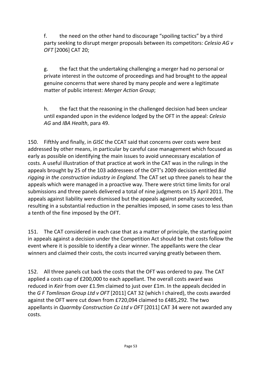f. the need on the other hand to discourage "spoiling tactics" by a third party seeking to disrupt merger proposals between its competitors: *Celesio AG v OFT* [2006] CAT 20;

g. the fact that the undertaking challenging a merger had no personal or private interest in the outcome of proceedings and had brought to the appeal genuine concerns that were shared by many people and were a legitimate matter of public interest: *Merger Action Group*;

h. the fact that the reasoning in the challenged decision had been unclear until expanded upon in the evidence lodged by the OFT in the appeal: *Celesio AG* and *IBA Health*, para 49.

150. Fifthly and finally, in *GISC* the CCAT said that concerns over costs were best addressed by other means, in particular by careful case management which focused as early as possible on identifying the main issues to avoid unnecessary escalation of costs. A useful illustration of that practice at work in the CAT was in the rulings in the appeals brought by 25 of the 103 addressees of the OFT's 2009 decision entitled *Bid rigging in the construction industry in England*. The CAT set up three panels to hear the appeals which were managed in a proactive way. There were strict time limits for oral submissions and three panels delivered a total of nine judgments on 15 April 2011. The appeals against liability were dismissed but the appeals against penalty succeeded, resulting in a substantial reduction in the penalties imposed, in some cases to less than a tenth of the fine imposed by the OFT.

151. The CAT considered in each case that as a matter of principle, the starting point in appeals against a decision under the Competition Act should be that costs follow the event where it is possible to identify a clear winner. The appellants were the clear winners and claimed their costs, the costs incurred varying greatly between them.

152. All three panels cut back the costs that the OFT was ordered to pay. The CAT applied a costs cap of £200,000 to each appellant. The overall costs award was reduced in *Keir* from over £1.9m claimed to just over £1m. In the appeals decided in the *G F Tomlinson Group Ltd v OFT* [2011] CAT 32 (which I chaired), the costs awarded against the OFT were cut down from £720,094 claimed to £485,292. The two appellants in *Quarmby Construction Co Ltd v OFT* [2011] CAT 34 were not awarded any costs.